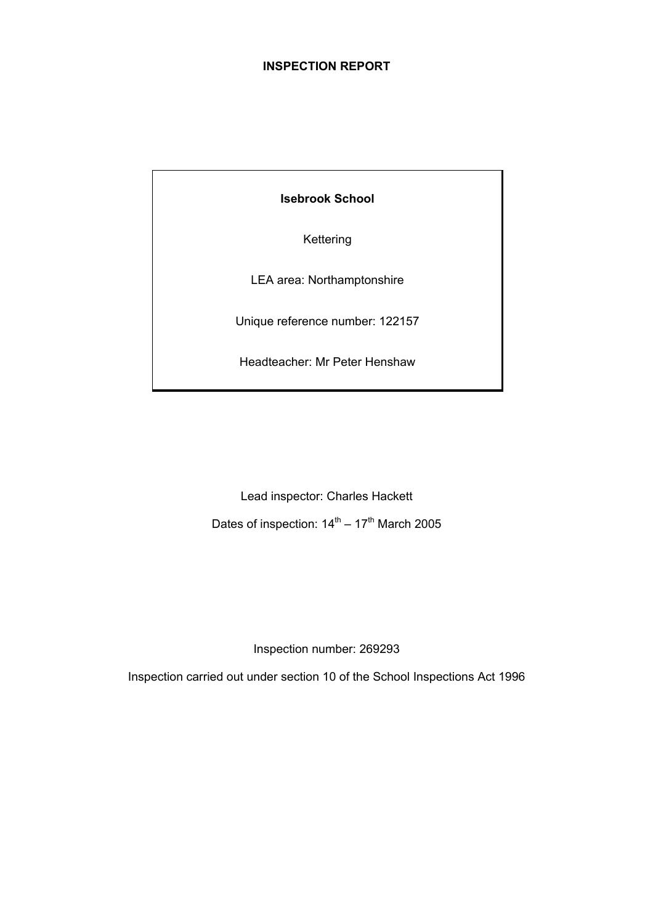# **INSPECTION REPORT**

**Isebrook School** 

Kettering

LEA area: Northamptonshire

Unique reference number: 122157

Headteacher: Mr Peter Henshaw

Lead inspector: Charles Hackett

Dates of inspection:  $14<sup>th</sup> - 17<sup>th</sup>$  March 2005

Inspection number: 269293

Inspection carried out under section 10 of the School Inspections Act 1996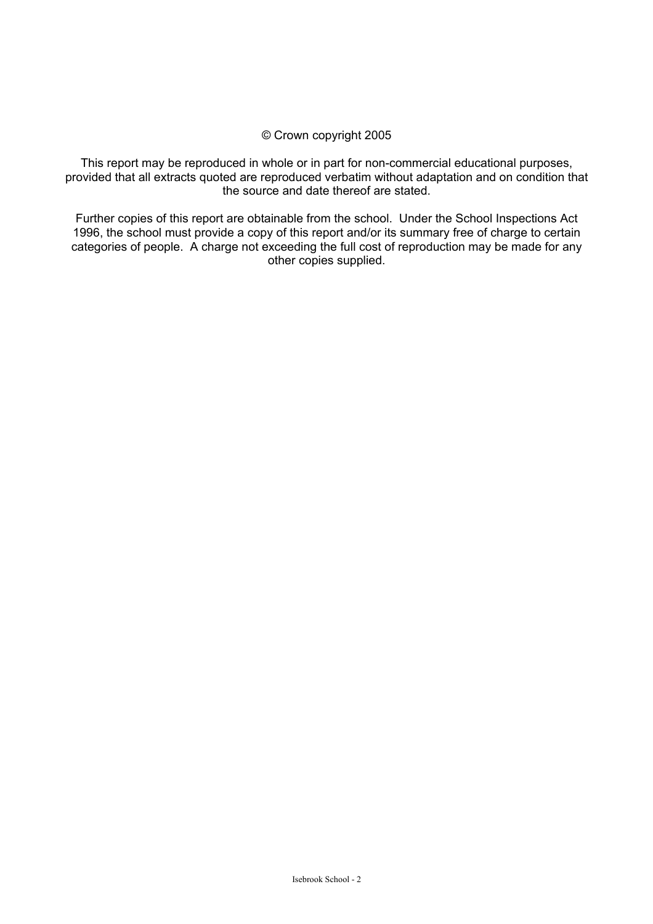## © Crown copyright 2005

This report may be reproduced in whole or in part for non-commercial educational purposes, provided that all extracts quoted are reproduced verbatim without adaptation and on condition that the source and date thereof are stated.

Further copies of this report are obtainable from the school. Under the School Inspections Act 1996, the school must provide a copy of this report and/or its summary free of charge to certain categories of people. A charge not exceeding the full cost of reproduction may be made for any other copies supplied.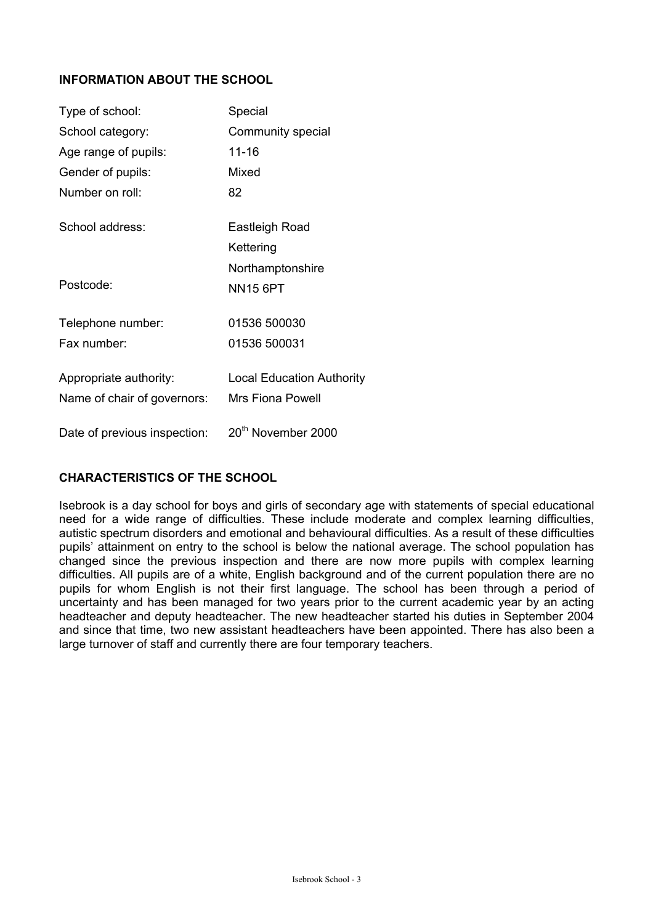# **INFORMATION ABOUT THE SCHOOL**

| Type of school:              | Special                          |
|------------------------------|----------------------------------|
| School category:             | Community special                |
| Age range of pupils:         | 11-16                            |
| Gender of pupils:            | Mixed                            |
| Number on roll:              | 82                               |
| School address:              | Eastleigh Road                   |
|                              | Kettering                        |
|                              | Northamptonshire                 |
| Postcode:                    | <b>NN15 6PT</b>                  |
| Telephone number:            | 01536 500030                     |
| Fax number:                  | 01536 500031                     |
| Appropriate authority:       | <b>Local Education Authority</b> |
| Name of chair of governors:  | <b>Mrs Fiona Powell</b>          |
| Date of previous inspection: | 20 <sup>th</sup> November 2000   |

# **CHARACTERISTICS OF THE SCHOOL**

Isebrook is a day school for boys and girls of secondary age with statements of special educational need for a wide range of difficulties. These include moderate and complex learning difficulties, autistic spectrum disorders and emotional and behavioural difficulties. As a result of these difficulties pupils' attainment on entry to the school is below the national average. The school population has changed since the previous inspection and there are now more pupils with complex learning difficulties. All pupils are of a white, English background and of the current population there are no pupils for whom English is not their first language. The school has been through a period of uncertainty and has been managed for two years prior to the current academic year by an acting headteacher and deputy headteacher. The new headteacher started his duties in September 2004 and since that time, two new assistant headteachers have been appointed. There has also been a large turnover of staff and currently there are four temporary teachers.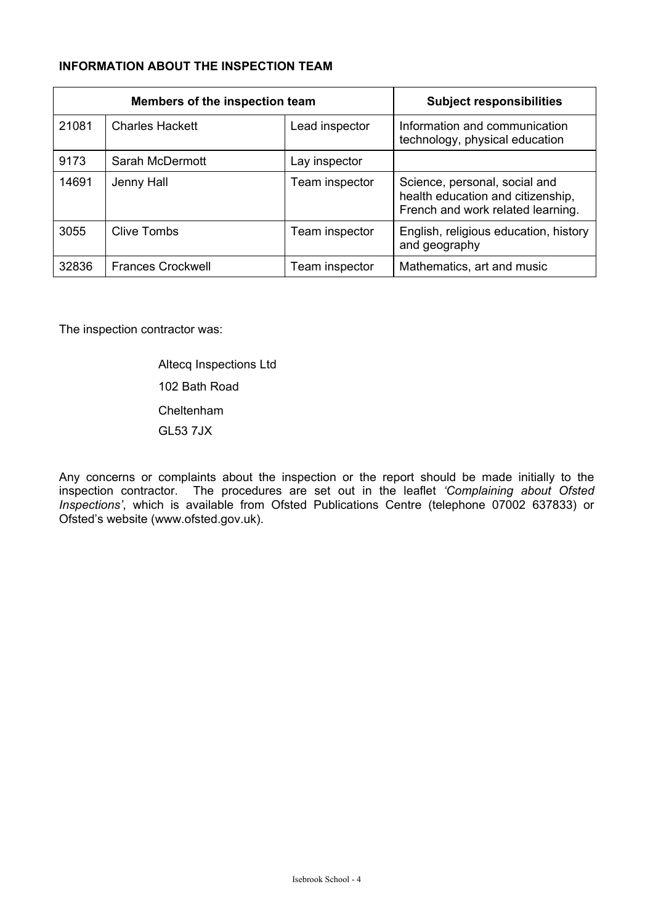# **INFORMATION ABOUT THE INSPECTION TEAM**

| Members of the inspection team |                          |                | <b>Subject responsibilities</b>                                                                         |
|--------------------------------|--------------------------|----------------|---------------------------------------------------------------------------------------------------------|
| 21081                          | <b>Charles Hackett</b>   | Lead inspector | Information and communication<br>technology, physical education                                         |
| 9173                           | Sarah McDermott          | Lay inspector  |                                                                                                         |
| 14691                          | Jenny Hall               | Team inspector | Science, personal, social and<br>health education and citizenship,<br>French and work related learning. |
| 3055                           | Clive Tombs              | Team inspector | English, religious education, history<br>and geography                                                  |
| 32836                          | <b>Frances Crockwell</b> | Team inspector | Mathematics, art and music                                                                              |

The inspection contractor was:

 Altecq Inspections Ltd 102 Bath Road Cheltenham GL53 7JX

Any concerns or complaints about the inspection or the report should be made initially to the inspection contractor. The procedures are set out in the leaflet *'Complaining about Ofsted Inspections'*, which is available from Ofsted Publications Centre (telephone 07002 637833) or Ofsted's website (www.ofsted.gov.uk).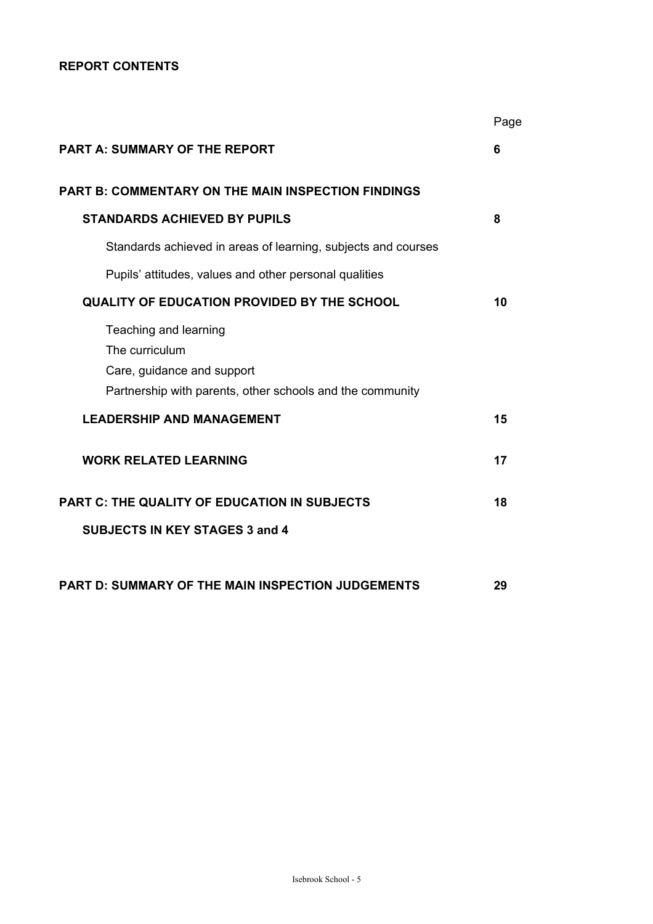# **REPORT CONTENTS**

|                                                                                                                                    | Page |
|------------------------------------------------------------------------------------------------------------------------------------|------|
| <b>PART A: SUMMARY OF THE REPORT</b>                                                                                               | 6    |
| <b>PART B: COMMENTARY ON THE MAIN INSPECTION FINDINGS</b>                                                                          |      |
| <b>STANDARDS ACHIEVED BY PUPILS</b>                                                                                                | 8    |
| Standards achieved in areas of learning, subjects and courses                                                                      |      |
| Pupils' attitudes, values and other personal qualities                                                                             |      |
| <b>QUALITY OF EDUCATION PROVIDED BY THE SCHOOL</b>                                                                                 | 10   |
| Teaching and learning<br>The curriculum<br>Care, guidance and support<br>Partnership with parents, other schools and the community |      |
| <b>LEADERSHIP AND MANAGEMENT</b>                                                                                                   | 15   |
| <b>WORK RELATED LEARNING</b>                                                                                                       | 17   |
| <b>PART C: THE QUALITY OF EDUCATION IN SUBJECTS</b>                                                                                | 18   |
| <b>SUBJECTS IN KEY STAGES 3 and 4</b>                                                                                              |      |
| PART D: SUMMARY OF THE MAIN INSPECTION JUDGEMENTS                                                                                  | 29   |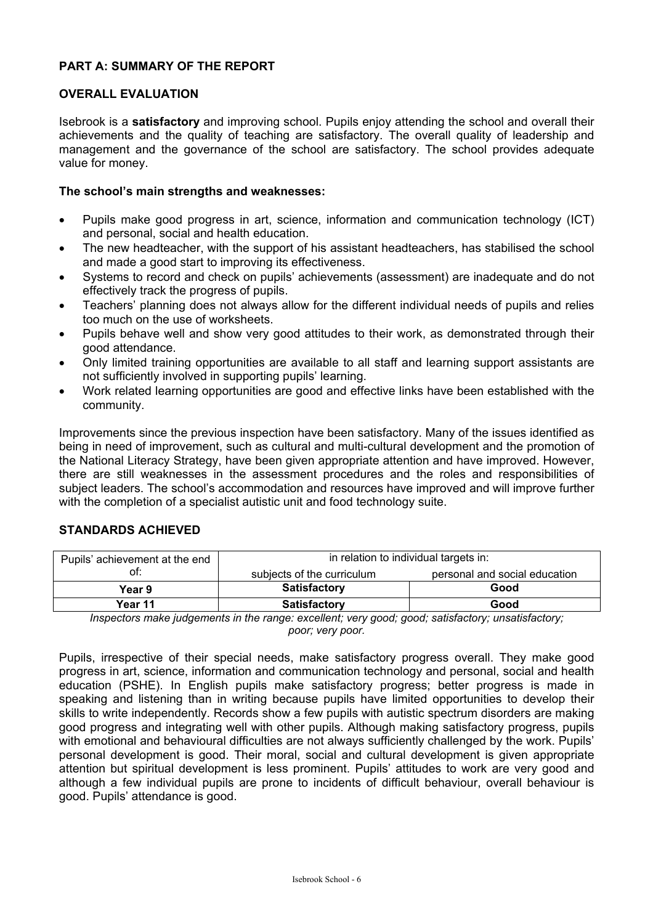# **PART A: SUMMARY OF THE REPORT**

## **OVERALL EVALUATION**

Isebrook is a **satisfactory** and improving school. Pupils enjoy attending the school and overall their achievements and the quality of teaching are satisfactory. The overall quality of leadership and management and the governance of the school are satisfactory. The school provides adequate value for money.

## **The school's main strengths and weaknesses:**

- Pupils make good progress in art, science, information and communication technology (ICT) and personal, social and health education.
- The new headteacher, with the support of his assistant headteachers, has stabilised the school and made a good start to improving its effectiveness.
- Systems to record and check on pupils' achievements (assessment) are inadequate and do not effectively track the progress of pupils.
- Teachers' planning does not always allow for the different individual needs of pupils and relies too much on the use of worksheets.
- Pupils behave well and show very good attitudes to their work, as demonstrated through their good attendance.
- Only limited training opportunities are available to all staff and learning support assistants are not sufficiently involved in supporting pupils' learning.
- Work related learning opportunities are good and effective links have been established with the community.

Improvements since the previous inspection have been satisfactory. Many of the issues identified as being in need of improvement, such as cultural and multi-cultural development and the promotion of the National Literacy Strategy, have been given appropriate attention and have improved. However, there are still weaknesses in the assessment procedures and the roles and responsibilities of subject leaders. The school's accommodation and resources have improved and will improve further with the completion of a specialist autistic unit and food technology suite.

# **STANDARDS ACHIEVED**

| Pupils' achievement at the end | in relation to individual targets in:                       |      |  |  |
|--------------------------------|-------------------------------------------------------------|------|--|--|
| ot:                            | personal and social education<br>subjects of the curriculum |      |  |  |
| Year 9                         | <b>Satisfactory</b>                                         | Good |  |  |
| Year 11                        | <b>Satisfactory</b>                                         | Good |  |  |

*Inspectors make judgements in the range: excellent; very good; good; satisfactory; unsatisfactory; poor; very poor.* 

Pupils, irrespective of their special needs, make satisfactory progress overall. They make good progress in art, science, information and communication technology and personal, social and health education (PSHE). In English pupils make satisfactory progress; better progress is made in speaking and listening than in writing because pupils have limited opportunities to develop their skills to write independently. Records show a few pupils with autistic spectrum disorders are making good progress and integrating well with other pupils. Although making satisfactory progress, pupils with emotional and behavioural difficulties are not always sufficiently challenged by the work. Pupils' personal development is good. Their moral, social and cultural development is given appropriate attention but spiritual development is less prominent. Pupils' attitudes to work are very good and although a few individual pupils are prone to incidents of difficult behaviour, overall behaviour is good. Pupils' attendance is good.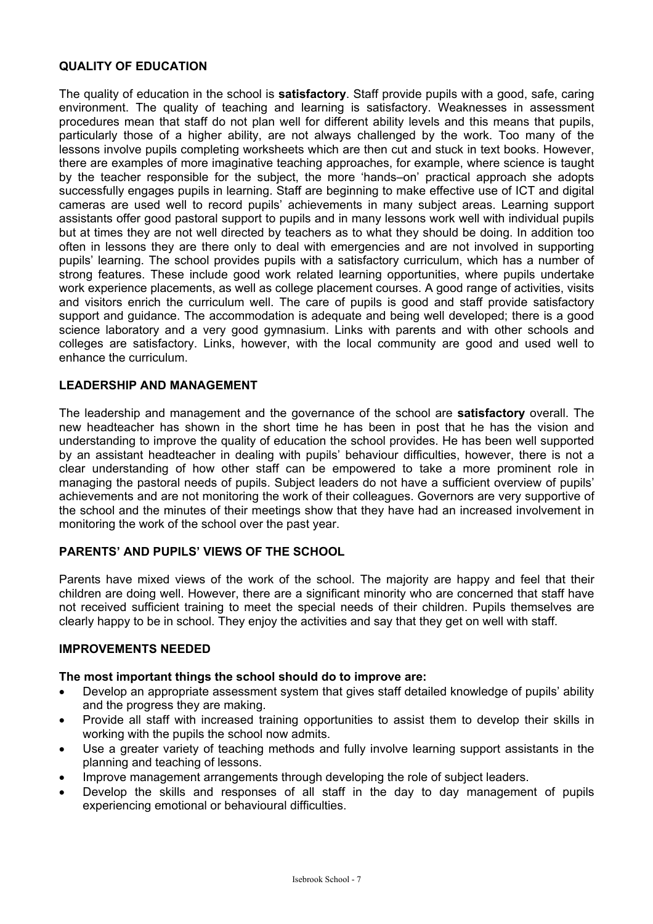# **QUALITY OF EDUCATION**

The quality of education in the school is **satisfactory**. Staff provide pupils with a good, safe, caring environment. The quality of teaching and learning is satisfactory. Weaknesses in assessment procedures mean that staff do not plan well for different ability levels and this means that pupils, particularly those of a higher ability, are not always challenged by the work. Too many of the lessons involve pupils completing worksheets which are then cut and stuck in text books. However, there are examples of more imaginative teaching approaches, for example, where science is taught by the teacher responsible for the subject, the more 'hands–on' practical approach she adopts successfully engages pupils in learning. Staff are beginning to make effective use of ICT and digital cameras are used well to record pupils' achievements in many subject areas. Learning support assistants offer good pastoral support to pupils and in many lessons work well with individual pupils but at times they are not well directed by teachers as to what they should be doing. In addition too often in lessons they are there only to deal with emergencies and are not involved in supporting pupils' learning. The school provides pupils with a satisfactory curriculum, which has a number of strong features. These include good work related learning opportunities, where pupils undertake work experience placements, as well as college placement courses. A good range of activities, visits and visitors enrich the curriculum well. The care of pupils is good and staff provide satisfactory support and guidance. The accommodation is adequate and being well developed; there is a good science laboratory and a very good gymnasium. Links with parents and with other schools and colleges are satisfactory. Links, however, with the local community are good and used well to enhance the curriculum.

# **LEADERSHIP AND MANAGEMENT**

The leadership and management and the governance of the school are **satisfactory** overall. The new headteacher has shown in the short time he has been in post that he has the vision and understanding to improve the quality of education the school provides. He has been well supported by an assistant headteacher in dealing with pupils' behaviour difficulties, however, there is not a clear understanding of how other staff can be empowered to take a more prominent role in managing the pastoral needs of pupils. Subject leaders do not have a sufficient overview of pupils' achievements and are not monitoring the work of their colleagues. Governors are very supportive of the school and the minutes of their meetings show that they have had an increased involvement in monitoring the work of the school over the past year.

# **PARENTS' AND PUPILS' VIEWS OF THE SCHOOL**

Parents have mixed views of the work of the school. The majority are happy and feel that their children are doing well. However, there are a significant minority who are concerned that staff have not received sufficient training to meet the special needs of their children. Pupils themselves are clearly happy to be in school. They enjoy the activities and say that they get on well with staff.

#### **IMPROVEMENTS NEEDED**

#### **The most important things the school should do to improve are:**

- Develop an appropriate assessment system that gives staff detailed knowledge of pupils' ability and the progress they are making.
- Provide all staff with increased training opportunities to assist them to develop their skills in working with the pupils the school now admits.
- Use a greater variety of teaching methods and fully involve learning support assistants in the planning and teaching of lessons.
- Improve management arrangements through developing the role of subject leaders.
- Develop the skills and responses of all staff in the day to day management of pupils experiencing emotional or behavioural difficulties.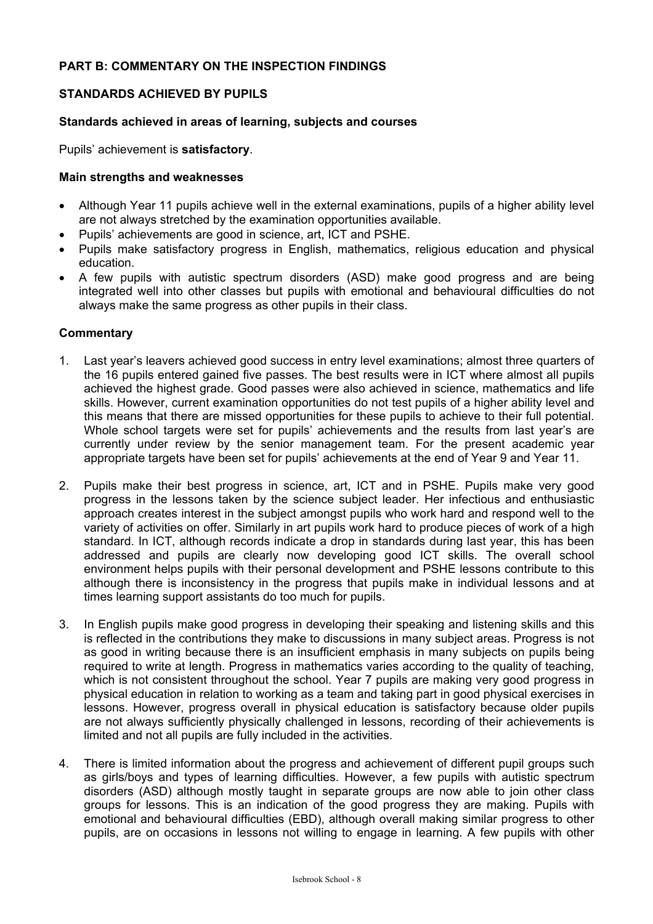# **PART B: COMMENTARY ON THE INSPECTION FINDINGS**

# **STANDARDS ACHIEVED BY PUPILS**

## **Standards achieved in areas of learning, subjects and courses**

Pupils' achievement is **satisfactory**.

## **Main strengths and weaknesses**

- Although Year 11 pupils achieve well in the external examinations, pupils of a higher ability level are not always stretched by the examination opportunities available.
- Pupils' achievements are good in science, art, ICT and PSHE.
- Pupils make satisfactory progress in English, mathematics, religious education and physical education.
- A few pupils with autistic spectrum disorders (ASD) make good progress and are being integrated well into other classes but pupils with emotional and behavioural difficulties do not always make the same progress as other pupils in their class.

- 1. Last year's leavers achieved good success in entry level examinations; almost three quarters of the 16 pupils entered gained five passes. The best results were in ICT where almost all pupils achieved the highest grade. Good passes were also achieved in science, mathematics and life skills. However, current examination opportunities do not test pupils of a higher ability level and this means that there are missed opportunities for these pupils to achieve to their full potential. Whole school targets were set for pupils' achievements and the results from last year's are currently under review by the senior management team. For the present academic year appropriate targets have been set for pupils' achievements at the end of Year 9 and Year 11.
- 2. Pupils make their best progress in science, art, ICT and in PSHE. Pupils make very good progress in the lessons taken by the science subject leader. Her infectious and enthusiastic approach creates interest in the subject amongst pupils who work hard and respond well to the variety of activities on offer. Similarly in art pupils work hard to produce pieces of work of a high standard. In ICT, although records indicate a drop in standards during last year, this has been addressed and pupils are clearly now developing good ICT skills. The overall school environment helps pupils with their personal development and PSHE lessons contribute to this although there is inconsistency in the progress that pupils make in individual lessons and at times learning support assistants do too much for pupils.
- 3. In English pupils make good progress in developing their speaking and listening skills and this is reflected in the contributions they make to discussions in many subject areas. Progress is not as good in writing because there is an insufficient emphasis in many subjects on pupils being required to write at length. Progress in mathematics varies according to the quality of teaching, which is not consistent throughout the school. Year 7 pupils are making very good progress in physical education in relation to working as a team and taking part in good physical exercises in lessons. However, progress overall in physical education is satisfactory because older pupils are not always sufficiently physically challenged in lessons, recording of their achievements is limited and not all pupils are fully included in the activities.
- 4. There is limited information about the progress and achievement of different pupil groups such as girls/boys and types of learning difficulties. However, a few pupils with autistic spectrum disorders (ASD) although mostly taught in separate groups are now able to join other class groups for lessons. This is an indication of the good progress they are making. Pupils with emotional and behavioural difficulties (EBD), although overall making similar progress to other pupils, are on occasions in lessons not willing to engage in learning. A few pupils with other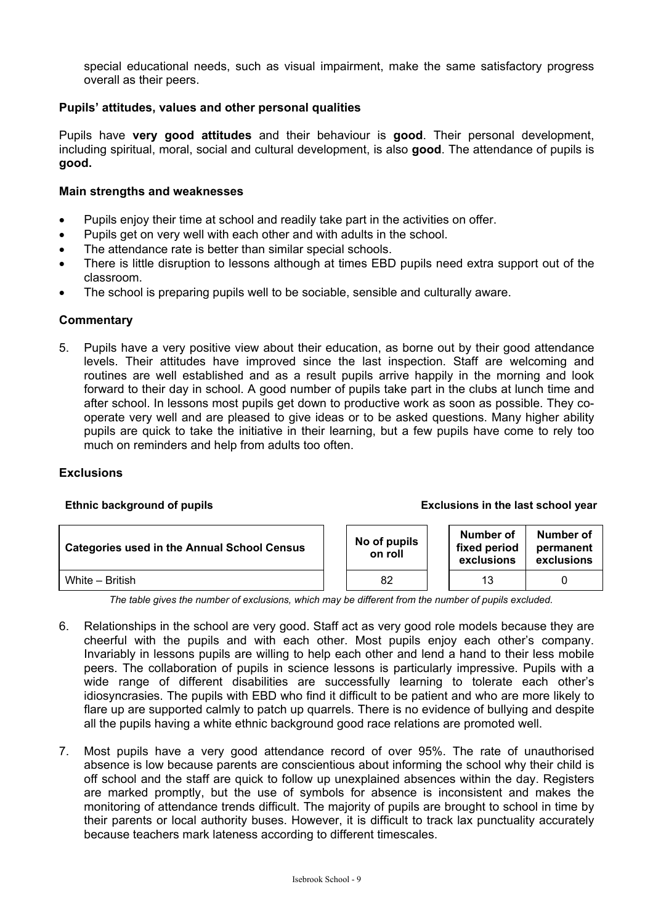special educational needs, such as visual impairment, make the same satisfactory progress overall as their peers.

## **Pupils' attitudes, values and other personal qualities**

Pupils have **very good attitudes** and their behaviour is **good**. Their personal development, including spiritual, moral, social and cultural development, is also **good**. The attendance of pupils is **good.**

#### **Main strengths and weaknesses**

- Pupils enjoy their time at school and readily take part in the activities on offer.
- Pupils get on very well with each other and with adults in the school.
- The attendance rate is better than similar special schools.
- There is little disruption to lessons although at times EBD pupils need extra support out of the classroom.
- The school is preparing pupils well to be sociable, sensible and culturally aware.

## **Commentary**

5. Pupils have a very positive view about their education, as borne out by their good attendance levels. Their attitudes have improved since the last inspection. Staff are welcoming and routines are well established and as a result pupils arrive happily in the morning and look forward to their day in school. A good number of pupils take part in the clubs at lunch time and after school. In lessons most pupils get down to productive work as soon as possible. They cooperate very well and are pleased to give ideas or to be asked questions. Many higher ability pupils are quick to take the initiative in their learning, but a few pupils have come to rely too much on reminders and help from adults too often.

#### **Exclusions**

#### **Ethnic background of pupils Exclusions in the last school year**

| <b>Categories used in the Annual School Census</b> | No of pupils<br>on roll | Number of<br>fixed period<br>exclusions | Number of<br>permanent<br>exclusions |
|----------------------------------------------------|-------------------------|-----------------------------------------|--------------------------------------|
| White - British                                    | 82                      | 13                                      |                                      |

*The table gives the number of exclusions, which may be different from the number of pupils excluded.* 

- 6. Relationships in the school are very good. Staff act as very good role models because they are cheerful with the pupils and with each other. Most pupils enjoy each other's company. Invariably in lessons pupils are willing to help each other and lend a hand to their less mobile peers. The collaboration of pupils in science lessons is particularly impressive. Pupils with a wide range of different disabilities are successfully learning to tolerate each other's idiosyncrasies. The pupils with EBD who find it difficult to be patient and who are more likely to flare up are supported calmly to patch up quarrels. There is no evidence of bullying and despite all the pupils having a white ethnic background good race relations are promoted well.
- 7. Most pupils have a very good attendance record of over 95%. The rate of unauthorised absence is low because parents are conscientious about informing the school why their child is off school and the staff are quick to follow up unexplained absences within the day. Registers are marked promptly, but the use of symbols for absence is inconsistent and makes the monitoring of attendance trends difficult. The majority of pupils are brought to school in time by their parents or local authority buses. However, it is difficult to track lax punctuality accurately because teachers mark lateness according to different timescales.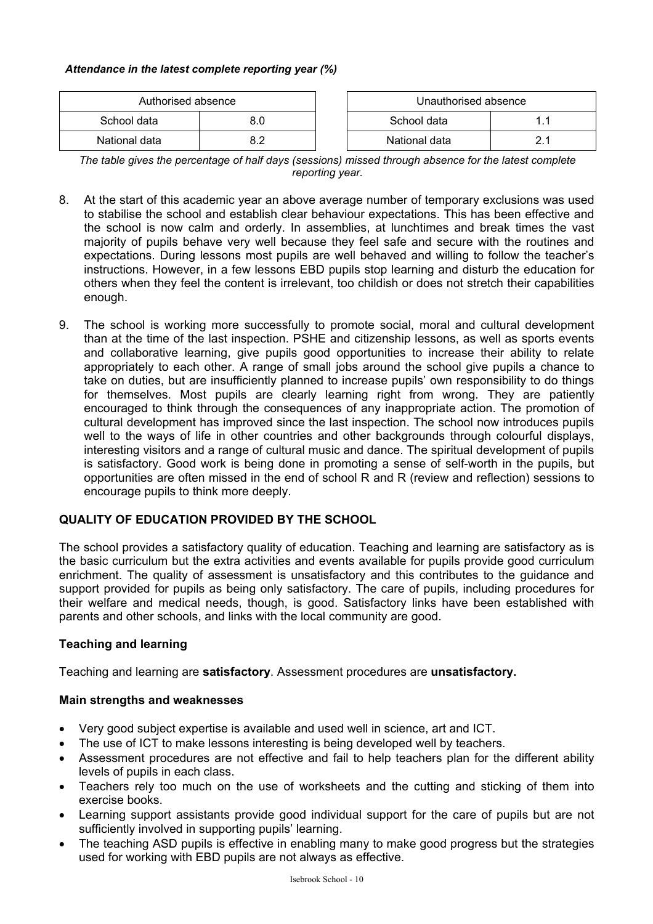## *Attendance in the latest complete reporting year (%)*

| Authorised absence |  | Unauthorised absence |  |
|--------------------|--|----------------------|--|
| School data        |  | School data          |  |
| National data      |  | National data        |  |

*The table gives the percentage of half days (sessions) missed through absence for the latest complete reporting year.*

- 8. At the start of this academic year an above average number of temporary exclusions was used to stabilise the school and establish clear behaviour expectations. This has been effective and the school is now calm and orderly. In assemblies, at lunchtimes and break times the vast majority of pupils behave very well because they feel safe and secure with the routines and expectations. During lessons most pupils are well behaved and willing to follow the teacher's instructions. However, in a few lessons EBD pupils stop learning and disturb the education for others when they feel the content is irrelevant, too childish or does not stretch their capabilities enough.
- 9. The school is working more successfully to promote social, moral and cultural development than at the time of the last inspection. PSHE and citizenship lessons, as well as sports events and collaborative learning, give pupils good opportunities to increase their ability to relate appropriately to each other. A range of small jobs around the school give pupils a chance to take on duties, but are insufficiently planned to increase pupils' own responsibility to do things for themselves. Most pupils are clearly learning right from wrong. They are patiently encouraged to think through the consequences of any inappropriate action. The promotion of cultural development has improved since the last inspection. The school now introduces pupils well to the ways of life in other countries and other backgrounds through colourful displays, interesting visitors and a range of cultural music and dance. The spiritual development of pupils is satisfactory. Good work is being done in promoting a sense of self-worth in the pupils, but opportunities are often missed in the end of school R and R (review and reflection) sessions to encourage pupils to think more deeply.

# **QUALITY OF EDUCATION PROVIDED BY THE SCHOOL**

The school provides a satisfactory quality of education. Teaching and learning are satisfactory as is the basic curriculum but the extra activities and events available for pupils provide good curriculum enrichment. The quality of assessment is unsatisfactory and this contributes to the guidance and support provided for pupils as being only satisfactory. The care of pupils, including procedures for their welfare and medical needs, though, is good. Satisfactory links have been established with parents and other schools, and links with the local community are good.

# **Teaching and learning**

Teaching and learning are **satisfactory**. Assessment procedures are **unsatisfactory.**

# **Main strengths and weaknesses**

- Very good subject expertise is available and used well in science, art and ICT.
- The use of ICT to make lessons interesting is being developed well by teachers.
- Assessment procedures are not effective and fail to help teachers plan for the different ability levels of pupils in each class.
- Teachers rely too much on the use of worksheets and the cutting and sticking of them into exercise books.
- Learning support assistants provide good individual support for the care of pupils but are not sufficiently involved in supporting pupils' learning.
- The teaching ASD pupils is effective in enabling many to make good progress but the strategies used for working with EBD pupils are not always as effective.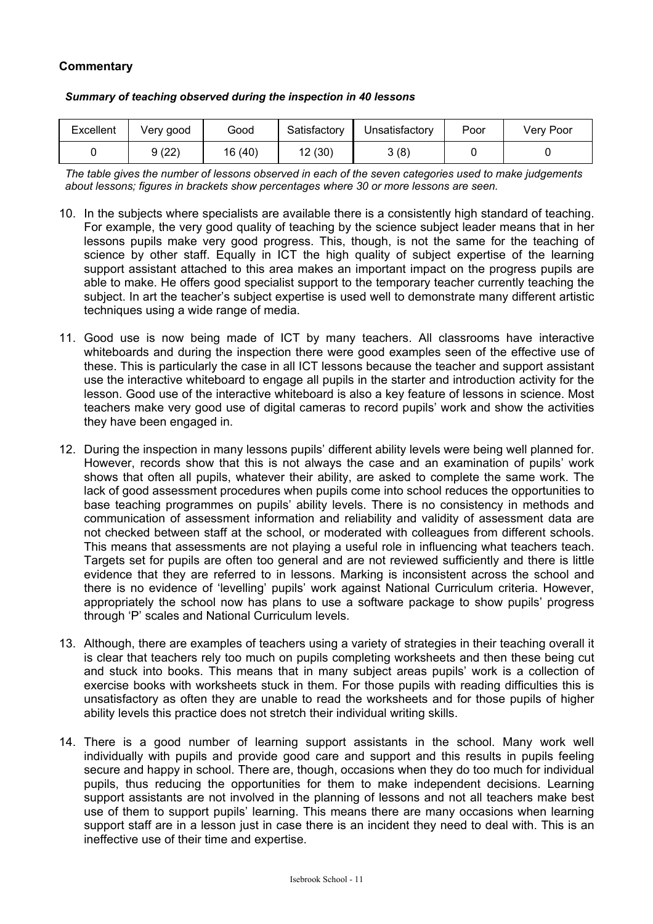# **Commentary**

| Excellent | Verv good | Good    | Satisfactory | Unsatisfactory | Poor | Very Poor |
|-----------|-----------|---------|--------------|----------------|------|-----------|
|           | 9 (22)    | 16 (40) | 12 (30)      | 3(8)           |      |           |

#### *Summary of teaching observed during the inspection in 40 lessons*

*The table gives the number of lessons observed in each of the seven categories used to make judgements about lessons; figures in brackets show percentages where 30 or more lessons are seen.* 

- 10. In the subjects where specialists are available there is a consistently high standard of teaching. For example, the very good quality of teaching by the science subject leader means that in her lessons pupils make very good progress. This, though, is not the same for the teaching of science by other staff. Equally in ICT the high quality of subject expertise of the learning support assistant attached to this area makes an important impact on the progress pupils are able to make. He offers good specialist support to the temporary teacher currently teaching the subject. In art the teacher's subject expertise is used well to demonstrate many different artistic techniques using a wide range of media.
- 11. Good use is now being made of ICT by many teachers. All classrooms have interactive whiteboards and during the inspection there were good examples seen of the effective use of these. This is particularly the case in all ICT lessons because the teacher and support assistant use the interactive whiteboard to engage all pupils in the starter and introduction activity for the lesson. Good use of the interactive whiteboard is also a key feature of lessons in science. Most teachers make very good use of digital cameras to record pupils' work and show the activities they have been engaged in.
- 12. During the inspection in many lessons pupils' different ability levels were being well planned for. However, records show that this is not always the case and an examination of pupils' work shows that often all pupils, whatever their ability, are asked to complete the same work. The lack of good assessment procedures when pupils come into school reduces the opportunities to base teaching programmes on pupils' ability levels. There is no consistency in methods and communication of assessment information and reliability and validity of assessment data are not checked between staff at the school, or moderated with colleagues from different schools. This means that assessments are not playing a useful role in influencing what teachers teach. Targets set for pupils are often too general and are not reviewed sufficiently and there is little evidence that they are referred to in lessons. Marking is inconsistent across the school and there is no evidence of 'levelling' pupils' work against National Curriculum criteria. However, appropriately the school now has plans to use a software package to show pupils' progress through 'P' scales and National Curriculum levels.
- 13. Although, there are examples of teachers using a variety of strategies in their teaching overall it is clear that teachers rely too much on pupils completing worksheets and then these being cut and stuck into books. This means that in many subject areas pupils' work is a collection of exercise books with worksheets stuck in them. For those pupils with reading difficulties this is unsatisfactory as often they are unable to read the worksheets and for those pupils of higher ability levels this practice does not stretch their individual writing skills.
- 14. There is a good number of learning support assistants in the school. Many work well individually with pupils and provide good care and support and this results in pupils feeling secure and happy in school. There are, though, occasions when they do too much for individual pupils, thus reducing the opportunities for them to make independent decisions. Learning support assistants are not involved in the planning of lessons and not all teachers make best use of them to support pupils' learning. This means there are many occasions when learning support staff are in a lesson just in case there is an incident they need to deal with. This is an ineffective use of their time and expertise.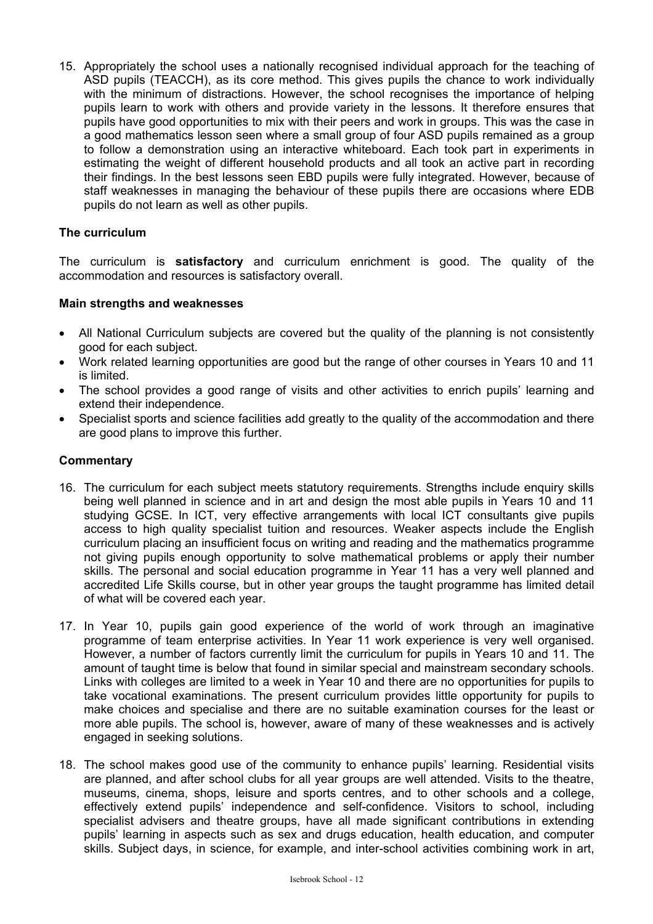15. Appropriately the school uses a nationally recognised individual approach for the teaching of ASD pupils (TEACCH), as its core method. This gives pupils the chance to work individually with the minimum of distractions. However, the school recognises the importance of helping pupils learn to work with others and provide variety in the lessons. It therefore ensures that pupils have good opportunities to mix with their peers and work in groups. This was the case in a good mathematics lesson seen where a small group of four ASD pupils remained as a group to follow a demonstration using an interactive whiteboard. Each took part in experiments in estimating the weight of different household products and all took an active part in recording their findings. In the best lessons seen EBD pupils were fully integrated. However, because of staff weaknesses in managing the behaviour of these pupils there are occasions where EDB pupils do not learn as well as other pupils.

# **The curriculum**

The curriculum is **satisfactory** and curriculum enrichment is good. The quality of the accommodation and resources is satisfactory overall.

# **Main strengths and weaknesses**

- All National Curriculum subjects are covered but the quality of the planning is not consistently good for each subject.
- Work related learning opportunities are good but the range of other courses in Years 10 and 11 is limited.
- The school provides a good range of visits and other activities to enrich pupils' learning and extend their independence.
- Specialist sports and science facilities add greatly to the quality of the accommodation and there are good plans to improve this further.

- 16. The curriculum for each subject meets statutory requirements. Strengths include enquiry skills being well planned in science and in art and design the most able pupils in Years 10 and 11 studying GCSE. In ICT, very effective arrangements with local ICT consultants give pupils access to high quality specialist tuition and resources. Weaker aspects include the English curriculum placing an insufficient focus on writing and reading and the mathematics programme not giving pupils enough opportunity to solve mathematical problems or apply their number skills. The personal and social education programme in Year 11 has a very well planned and accredited Life Skills course, but in other year groups the taught programme has limited detail of what will be covered each year.
- 17. In Year 10, pupils gain good experience of the world of work through an imaginative programme of team enterprise activities. In Year 11 work experience is very well organised. However, a number of factors currently limit the curriculum for pupils in Years 10 and 11. The amount of taught time is below that found in similar special and mainstream secondary schools. Links with colleges are limited to a week in Year 10 and there are no opportunities for pupils to take vocational examinations. The present curriculum provides little opportunity for pupils to make choices and specialise and there are no suitable examination courses for the least or more able pupils. The school is, however, aware of many of these weaknesses and is actively engaged in seeking solutions.
- 18. The school makes good use of the community to enhance pupils' learning. Residential visits are planned, and after school clubs for all year groups are well attended. Visits to the theatre, museums, cinema, shops, leisure and sports centres, and to other schools and a college, effectively extend pupils' independence and self-confidence. Visitors to school, including specialist advisers and theatre groups, have all made significant contributions in extending pupils' learning in aspects such as sex and drugs education, health education, and computer skills. Subject days, in science, for example, and inter-school activities combining work in art,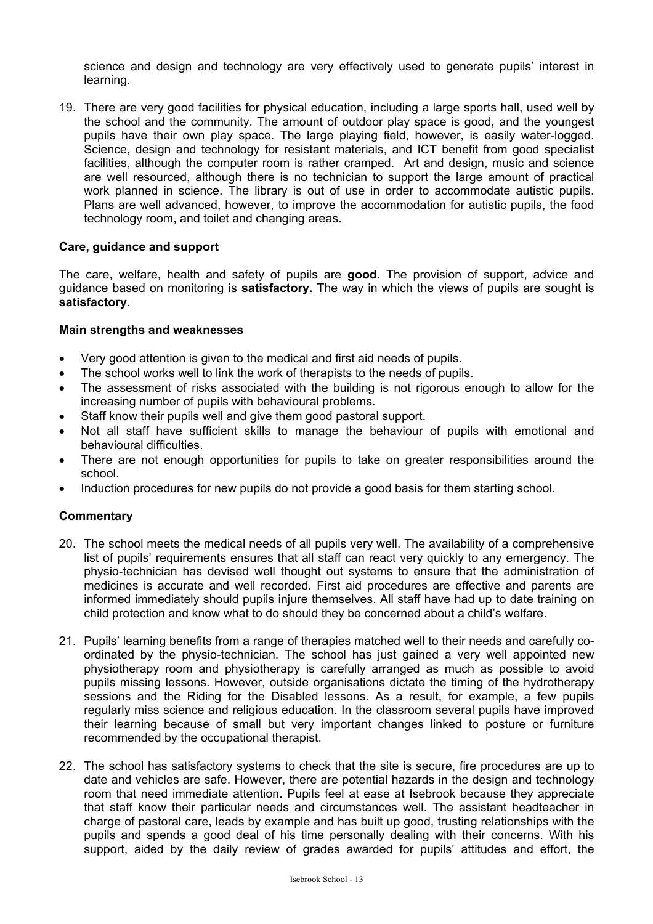science and design and technology are very effectively used to generate pupils' interest in learning.

19. There are very good facilities for physical education, including a large sports hall, used well by the school and the community. The amount of outdoor play space is good, and the youngest pupils have their own play space. The large playing field, however, is easily water-logged. Science, design and technology for resistant materials, and ICT benefit from good specialist facilities, although the computer room is rather cramped. Art and design, music and science are well resourced, although there is no technician to support the large amount of practical work planned in science. The library is out of use in order to accommodate autistic pupils. Plans are well advanced, however, to improve the accommodation for autistic pupils, the food technology room, and toilet and changing areas.

# **Care, guidance and support**

The care, welfare, health and safety of pupils are **good**. The provision of support, advice and guidance based on monitoring is **satisfactory.** The way in which the views of pupils are sought is **satisfactory**.

## **Main strengths and weaknesses**

- Very good attention is given to the medical and first aid needs of pupils.
- The school works well to link the work of therapists to the needs of pupils.
- The assessment of risks associated with the building is not rigorous enough to allow for the increasing number of pupils with behavioural problems.
- Staff know their pupils well and give them good pastoral support.
- Not all staff have sufficient skills to manage the behaviour of pupils with emotional and behavioural difficulties.
- There are not enough opportunities for pupils to take on greater responsibilities around the school.
- Induction procedures for new pupils do not provide a good basis for them starting school.

- 20. The school meets the medical needs of all pupils very well. The availability of a comprehensive list of pupils' requirements ensures that all staff can react very quickly to any emergency. The physio-technician has devised well thought out systems to ensure that the administration of medicines is accurate and well recorded. First aid procedures are effective and parents are informed immediately should pupils injure themselves. All staff have had up to date training on child protection and know what to do should they be concerned about a child's welfare.
- 21. Pupils' learning benefits from a range of therapies matched well to their needs and carefully coordinated by the physio-technician. The school has just gained a very well appointed new physiotherapy room and physiotherapy is carefully arranged as much as possible to avoid pupils missing lessons. However, outside organisations dictate the timing of the hydrotherapy sessions and the Riding for the Disabled lessons. As a result, for example, a few pupils regularly miss science and religious education. In the classroom several pupils have improved their learning because of small but very important changes linked to posture or furniture recommended by the occupational therapist.
- 22. The school has satisfactory systems to check that the site is secure, fire procedures are up to date and vehicles are safe. However, there are potential hazards in the design and technology room that need immediate attention. Pupils feel at ease at Isebrook because they appreciate that staff know their particular needs and circumstances well. The assistant headteacher in charge of pastoral care, leads by example and has built up good, trusting relationships with the pupils and spends a good deal of his time personally dealing with their concerns. With his support, aided by the daily review of grades awarded for pupils' attitudes and effort, the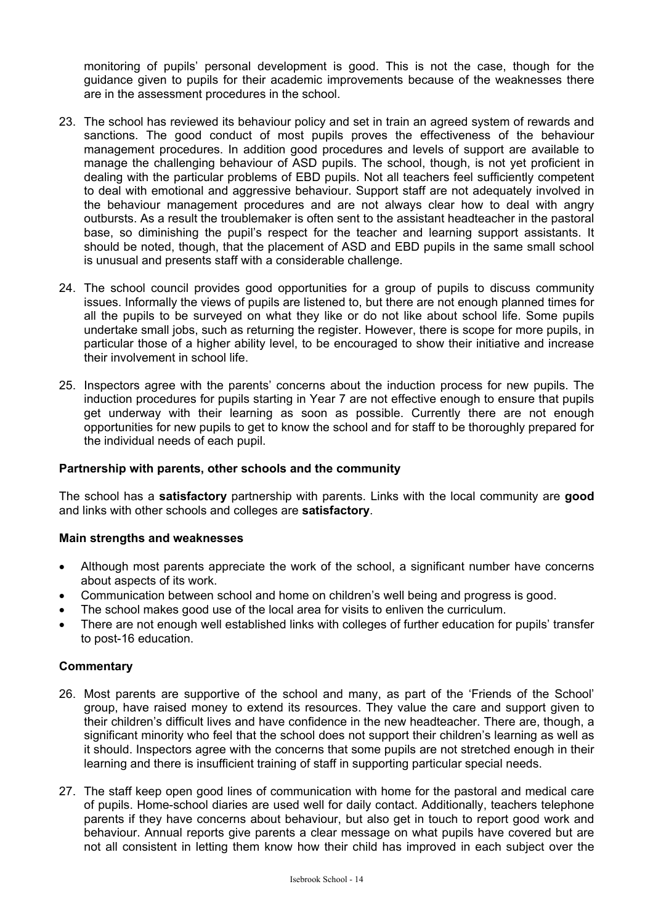monitoring of pupils' personal development is good. This is not the case, though for the guidance given to pupils for their academic improvements because of the weaknesses there are in the assessment procedures in the school.

- 23. The school has reviewed its behaviour policy and set in train an agreed system of rewards and sanctions. The good conduct of most pupils proves the effectiveness of the behaviour management procedures. In addition good procedures and levels of support are available to manage the challenging behaviour of ASD pupils. The school, though, is not yet proficient in dealing with the particular problems of EBD pupils. Not all teachers feel sufficiently competent to deal with emotional and aggressive behaviour. Support staff are not adequately involved in the behaviour management procedures and are not always clear how to deal with angry outbursts. As a result the troublemaker is often sent to the assistant headteacher in the pastoral base, so diminishing the pupil's respect for the teacher and learning support assistants. It should be noted, though, that the placement of ASD and EBD pupils in the same small school is unusual and presents staff with a considerable challenge.
- 24. The school council provides good opportunities for a group of pupils to discuss community issues. Informally the views of pupils are listened to, but there are not enough planned times for all the pupils to be surveyed on what they like or do not like about school life. Some pupils undertake small jobs, such as returning the register. However, there is scope for more pupils, in particular those of a higher ability level, to be encouraged to show their initiative and increase their involvement in school life.
- 25. Inspectors agree with the parents' concerns about the induction process for new pupils. The induction procedures for pupils starting in Year 7 are not effective enough to ensure that pupils get underway with their learning as soon as possible. Currently there are not enough opportunities for new pupils to get to know the school and for staff to be thoroughly prepared for the individual needs of each pupil.

## **Partnership with parents, other schools and the community**

The school has a **satisfactory** partnership with parents. Links with the local community are **good**  and links with other schools and colleges are **satisfactory**.

# **Main strengths and weaknesses**

- Although most parents appreciate the work of the school, a significant number have concerns about aspects of its work.
- Communication between school and home on children's well being and progress is good.
- The school makes good use of the local area for visits to enliven the curriculum.
- There are not enough well established links with colleges of further education for pupils' transfer to post-16 education.

- 26. Most parents are supportive of the school and many, as part of the 'Friends of the School' group, have raised money to extend its resources. They value the care and support given to their children's difficult lives and have confidence in the new headteacher. There are, though, a significant minority who feel that the school does not support their children's learning as well as it should. Inspectors agree with the concerns that some pupils are not stretched enough in their learning and there is insufficient training of staff in supporting particular special needs.
- 27. The staff keep open good lines of communication with home for the pastoral and medical care of pupils. Home-school diaries are used well for daily contact. Additionally, teachers telephone parents if they have concerns about behaviour, but also get in touch to report good work and behaviour. Annual reports give parents a clear message on what pupils have covered but are not all consistent in letting them know how their child has improved in each subject over the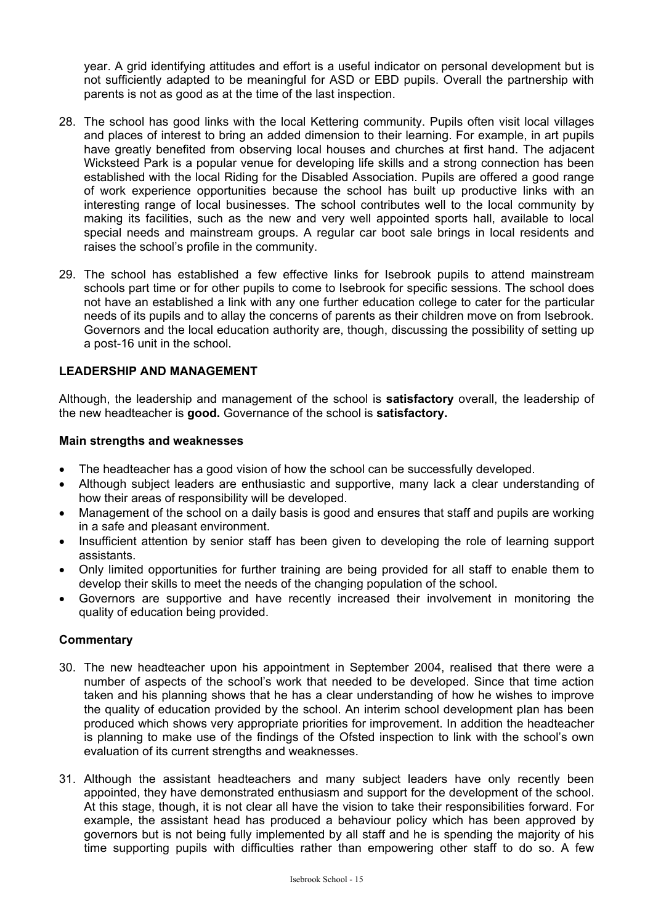year. A grid identifying attitudes and effort is a useful indicator on personal development but is not sufficiently adapted to be meaningful for ASD or EBD pupils. Overall the partnership with parents is not as good as at the time of the last inspection.

- 28. The school has good links with the local Kettering community. Pupils often visit local villages and places of interest to bring an added dimension to their learning. For example, in art pupils have greatly benefited from observing local houses and churches at first hand. The adjacent Wicksteed Park is a popular venue for developing life skills and a strong connection has been established with the local Riding for the Disabled Association. Pupils are offered a good range of work experience opportunities because the school has built up productive links with an interesting range of local businesses. The school contributes well to the local community by making its facilities, such as the new and very well appointed sports hall, available to local special needs and mainstream groups. A regular car boot sale brings in local residents and raises the school's profile in the community.
- 29. The school has established a few effective links for Isebrook pupils to attend mainstream schools part time or for other pupils to come to Isebrook for specific sessions. The school does not have an established a link with any one further education college to cater for the particular needs of its pupils and to allay the concerns of parents as their children move on from Isebrook. Governors and the local education authority are, though, discussing the possibility of setting up a post-16 unit in the school.

# **LEADERSHIP AND MANAGEMENT**

Although, the leadership and management of the school is **satisfactory** overall, the leadership of the new headteacher is **good.** Governance of the school is **satisfactory.**

#### **Main strengths and weaknesses**

- The headteacher has a good vision of how the school can be successfully developed.
- Although subject leaders are enthusiastic and supportive, many lack a clear understanding of how their areas of responsibility will be developed.
- Management of the school on a daily basis is good and ensures that staff and pupils are working in a safe and pleasant environment.
- Insufficient attention by senior staff has been given to developing the role of learning support assistants.
- Only limited opportunities for further training are being provided for all staff to enable them to develop their skills to meet the needs of the changing population of the school.
- Governors are supportive and have recently increased their involvement in monitoring the quality of education being provided.

- 30. The new headteacher upon his appointment in September 2004, realised that there were a number of aspects of the school's work that needed to be developed. Since that time action taken and his planning shows that he has a clear understanding of how he wishes to improve the quality of education provided by the school. An interim school development plan has been produced which shows very appropriate priorities for improvement. In addition the headteacher is planning to make use of the findings of the Ofsted inspection to link with the school's own evaluation of its current strengths and weaknesses.
- 31. Although the assistant headteachers and many subject leaders have only recently been appointed, they have demonstrated enthusiasm and support for the development of the school. At this stage, though, it is not clear all have the vision to take their responsibilities forward. For example, the assistant head has produced a behaviour policy which has been approved by governors but is not being fully implemented by all staff and he is spending the majority of his time supporting pupils with difficulties rather than empowering other staff to do so. A few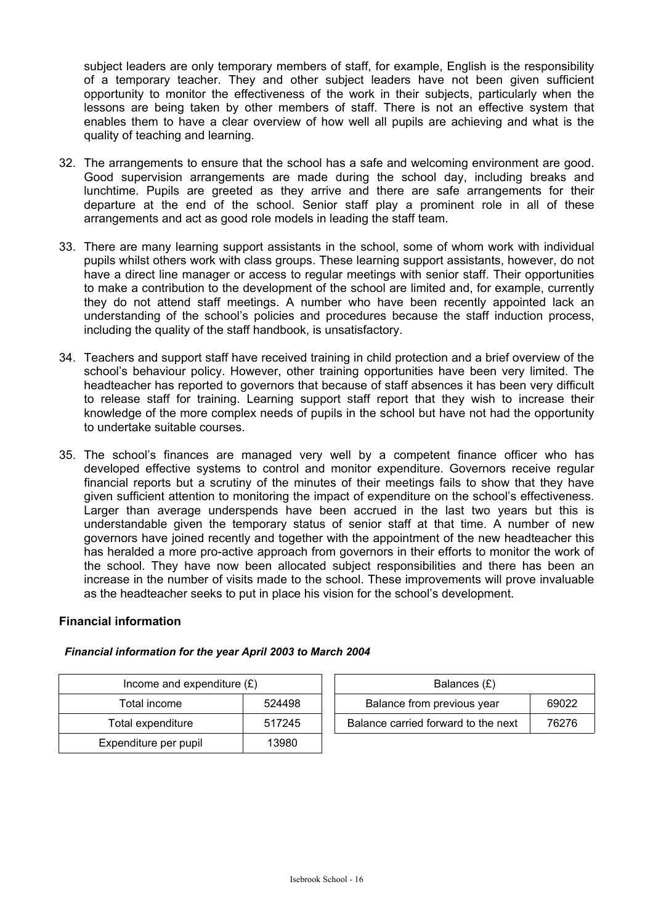subject leaders are only temporary members of staff, for example, English is the responsibility of a temporary teacher. They and other subject leaders have not been given sufficient opportunity to monitor the effectiveness of the work in their subjects, particularly when the lessons are being taken by other members of staff. There is not an effective system that enables them to have a clear overview of how well all pupils are achieving and what is the quality of teaching and learning.

- 32. The arrangements to ensure that the school has a safe and welcoming environment are good. Good supervision arrangements are made during the school day, including breaks and lunchtime. Pupils are greeted as they arrive and there are safe arrangements for their departure at the end of the school. Senior staff play a prominent role in all of these arrangements and act as good role models in leading the staff team.
- 33. There are many learning support assistants in the school, some of whom work with individual pupils whilst others work with class groups. These learning support assistants, however, do not have a direct line manager or access to regular meetings with senior staff. Their opportunities to make a contribution to the development of the school are limited and, for example, currently they do not attend staff meetings. A number who have been recently appointed lack an understanding of the school's policies and procedures because the staff induction process, including the quality of the staff handbook, is unsatisfactory.
- 34. Teachers and support staff have received training in child protection and a brief overview of the school's behaviour policy. However, other training opportunities have been very limited. The headteacher has reported to governors that because of staff absences it has been very difficult to release staff for training. Learning support staff report that they wish to increase their knowledge of the more complex needs of pupils in the school but have not had the opportunity to undertake suitable courses.
- 35. The school's finances are managed very well by a competent finance officer who has developed effective systems to control and monitor expenditure. Governors receive regular financial reports but a scrutiny of the minutes of their meetings fails to show that they have given sufficient attention to monitoring the impact of expenditure on the school's effectiveness. Larger than average underspends have been accrued in the last two years but this is understandable given the temporary status of senior staff at that time. A number of new governors have joined recently and together with the appointment of the new headteacher this has heralded a more pro-active approach from governors in their efforts to monitor the work of the school. They have now been allocated subject responsibilities and there has been an increase in the number of visits made to the school. These improvements will prove invaluable as the headteacher seeks to put in place his vision for the school's development.

# **Financial information**

| Income and expenditure $(E)$ | Balances (£) |                                |
|------------------------------|--------------|--------------------------------|
| 524498<br>Total income       |              | Balance from previous year     |
| Total expenditure            | 517245       | Balance carried forward to the |
| Expenditure per pupil        | 13980        |                                |

| Income and expenditure $(E)$ |        |  | Balances (£)                        |       |
|------------------------------|--------|--|-------------------------------------|-------|
| Total income                 | 524498 |  | Balance from previous year          | 69022 |
| Total expenditure            | 517245 |  | Balance carried forward to the next | 76276 |

# *Financial information for the year April 2003 to March 2004*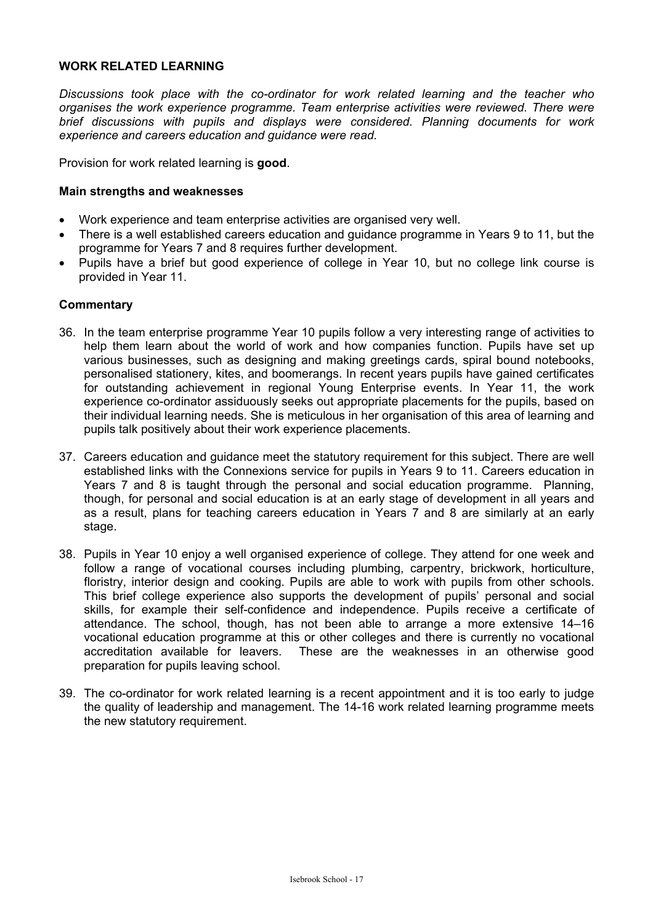# **WORK RELATED LEARNING**

*Discussions took place with the co-ordinator for work related learning and the teacher who organises the work experience programme. Team enterprise activities were reviewed. There were brief discussions with pupils and displays were considered. Planning documents for work experience and careers education and guidance were read.* 

Provision for work related learning is **good**.

#### **Main strengths and weaknesses**

- Work experience and team enterprise activities are organised very well.
- There is a well established careers education and guidance programme in Years 9 to 11, but the programme for Years 7 and 8 requires further development.
- Pupils have a brief but good experience of college in Year 10, but no college link course is provided in Year 11.

- 36. In the team enterprise programme Year 10 pupils follow a very interesting range of activities to help them learn about the world of work and how companies function. Pupils have set up various businesses, such as designing and making greetings cards, spiral bound notebooks, personalised stationery, kites, and boomerangs. In recent years pupils have gained certificates for outstanding achievement in regional Young Enterprise events. In Year 11, the work experience co-ordinator assiduously seeks out appropriate placements for the pupils, based on their individual learning needs. She is meticulous in her organisation of this area of learning and pupils talk positively about their work experience placements.
- 37. Careers education and guidance meet the statutory requirement for this subject. There are well established links with the Connexions service for pupils in Years 9 to 11. Careers education in Years 7 and 8 is taught through the personal and social education programme. Planning, though, for personal and social education is at an early stage of development in all years and as a result, plans for teaching careers education in Years 7 and 8 are similarly at an early stage.
- 38. Pupils in Year 10 enjoy a well organised experience of college. They attend for one week and follow a range of vocational courses including plumbing, carpentry, brickwork, horticulture, floristry, interior design and cooking. Pupils are able to work with pupils from other schools. This brief college experience also supports the development of pupils' personal and social skills, for example their self-confidence and independence. Pupils receive a certificate of attendance. The school, though, has not been able to arrange a more extensive 14–16 vocational education programme at this or other colleges and there is currently no vocational accreditation available for leavers. These are the weaknesses in an otherwise good preparation for pupils leaving school.
- 39. The co-ordinator for work related learning is a recent appointment and it is too early to judge the quality of leadership and management. The 14-16 work related learning programme meets the new statutory requirement.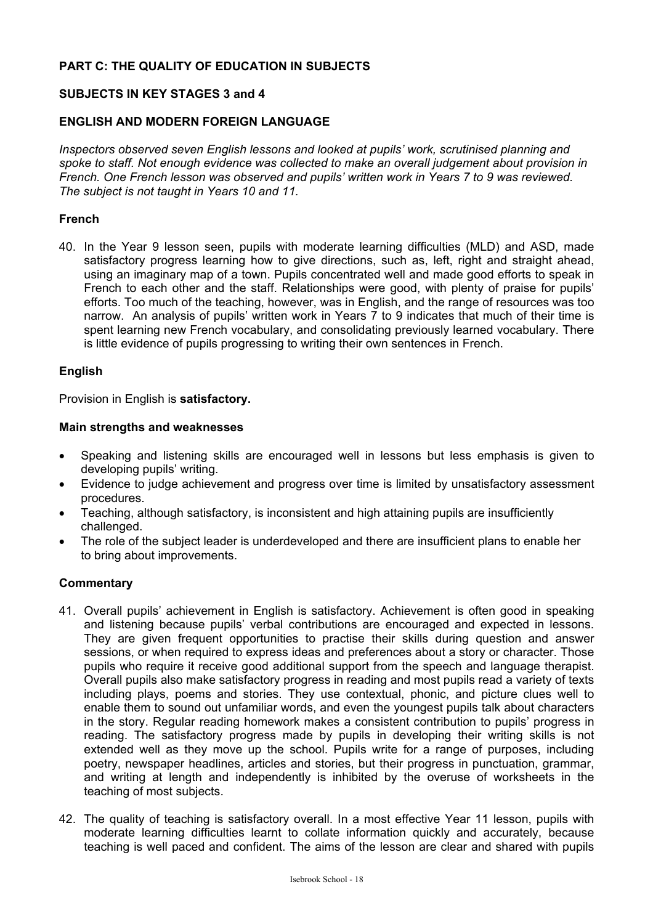# **PART C: THE QUALITY OF EDUCATION IN SUBJECTS**

# **SUBJECTS IN KEY STAGES 3 and 4**

# **ENGLISH AND MODERN FOREIGN LANGUAGE**

*Inspectors observed seven English lessons and looked at pupils' work, scrutinised planning and spoke to staff. Not enough evidence was collected to make an overall judgement about provision in French. One French lesson was observed and pupils' written work in Years 7 to 9 was reviewed. The subject is not taught in Years 10 and 11.* 

## **French**

40. In the Year 9 lesson seen, pupils with moderate learning difficulties (MLD) and ASD, made satisfactory progress learning how to give directions, such as, left, right and straight ahead, using an imaginary map of a town. Pupils concentrated well and made good efforts to speak in French to each other and the staff. Relationships were good, with plenty of praise for pupils' efforts. Too much of the teaching, however, was in English, and the range of resources was too narrow. An analysis of pupils' written work in Years 7 to 9 indicates that much of their time is spent learning new French vocabulary, and consolidating previously learned vocabulary. There is little evidence of pupils progressing to writing their own sentences in French.

#### **English**

Provision in English is **satisfactory.** 

#### **Main strengths and weaknesses**

- Speaking and listening skills are encouraged well in lessons but less emphasis is given to developing pupils' writing.
- Evidence to judge achievement and progress over time is limited by unsatisfactory assessment procedures.
- Teaching, although satisfactory, is inconsistent and high attaining pupils are insufficiently challenged.
- The role of the subject leader is underdeveloped and there are insufficient plans to enable her to bring about improvements.

- 41. Overall pupils' achievement in English is satisfactory. Achievement is often good in speaking and listening because pupils' verbal contributions are encouraged and expected in lessons. They are given frequent opportunities to practise their skills during question and answer sessions, or when required to express ideas and preferences about a story or character. Those pupils who require it receive good additional support from the speech and language therapist. Overall pupils also make satisfactory progress in reading and most pupils read a variety of texts including plays, poems and stories. They use contextual, phonic, and picture clues well to enable them to sound out unfamiliar words, and even the youngest pupils talk about characters in the story. Regular reading homework makes a consistent contribution to pupils' progress in reading. The satisfactory progress made by pupils in developing their writing skills is not extended well as they move up the school. Pupils write for a range of purposes, including poetry, newspaper headlines, articles and stories, but their progress in punctuation, grammar, and writing at length and independently is inhibited by the overuse of worksheets in the teaching of most subjects.
- 42. The quality of teaching is satisfactory overall. In a most effective Year 11 lesson, pupils with moderate learning difficulties learnt to collate information quickly and accurately, because teaching is well paced and confident. The aims of the lesson are clear and shared with pupils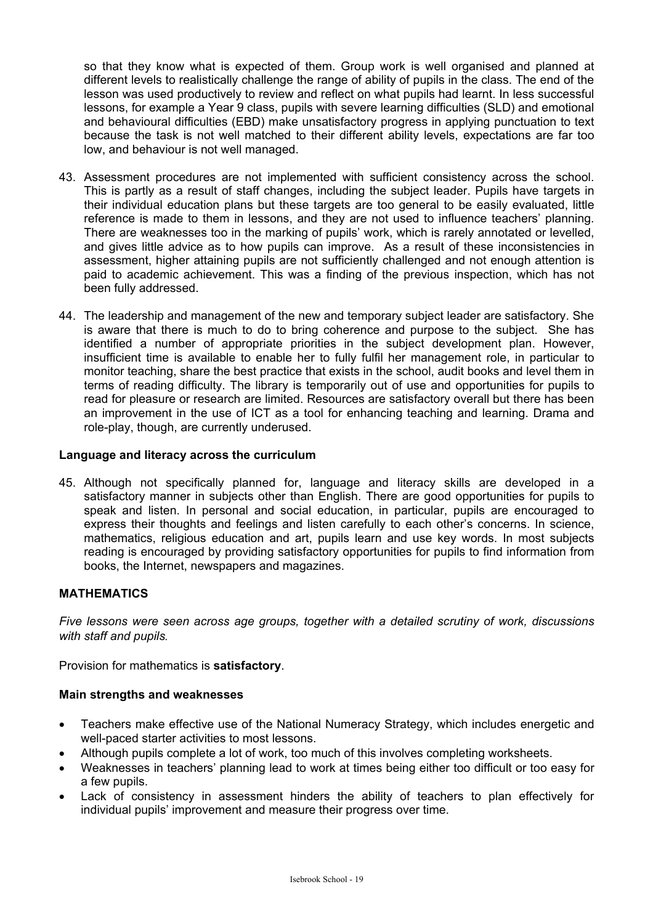so that they know what is expected of them. Group work is well organised and planned at different levels to realistically challenge the range of ability of pupils in the class. The end of the lesson was used productively to review and reflect on what pupils had learnt. In less successful lessons, for example a Year 9 class, pupils with severe learning difficulties (SLD) and emotional and behavioural difficulties (EBD) make unsatisfactory progress in applying punctuation to text because the task is not well matched to their different ability levels, expectations are far too low, and behaviour is not well managed.

- 43. Assessment procedures are not implemented with sufficient consistency across the school. This is partly as a result of staff changes, including the subject leader. Pupils have targets in their individual education plans but these targets are too general to be easily evaluated, little reference is made to them in lessons, and they are not used to influence teachers' planning. There are weaknesses too in the marking of pupils' work, which is rarely annotated or levelled, and gives little advice as to how pupils can improve. As a result of these inconsistencies in assessment, higher attaining pupils are not sufficiently challenged and not enough attention is paid to academic achievement. This was a finding of the previous inspection, which has not been fully addressed.
- 44. The leadership and management of the new and temporary subject leader are satisfactory. She is aware that there is much to do to bring coherence and purpose to the subject. She has identified a number of appropriate priorities in the subject development plan. However, insufficient time is available to enable her to fully fulfil her management role, in particular to monitor teaching, share the best practice that exists in the school, audit books and level them in terms of reading difficulty. The library is temporarily out of use and opportunities for pupils to read for pleasure or research are limited. Resources are satisfactory overall but there has been an improvement in the use of ICT as a tool for enhancing teaching and learning. Drama and role-play, though, are currently underused.

# **Language and literacy across the curriculum**

45. Although not specifically planned for, language and literacy skills are developed in a satisfactory manner in subjects other than English. There are good opportunities for pupils to speak and listen. In personal and social education, in particular, pupils are encouraged to express their thoughts and feelings and listen carefully to each other's concerns. In science, mathematics, religious education and art, pupils learn and use key words. In most subjects reading is encouraged by providing satisfactory opportunities for pupils to find information from books, the Internet, newspapers and magazines.

# **MATHEMATICS**

*Five lessons were seen across age groups, together with a detailed scrutiny of work, discussions with staff and pupils.* 

Provision for mathematics is **satisfactory**.

## **Main strengths and weaknesses**

- Teachers make effective use of the National Numeracy Strategy, which includes energetic and well-paced starter activities to most lessons.
- Although pupils complete a lot of work, too much of this involves completing worksheets.
- Weaknesses in teachers' planning lead to work at times being either too difficult or too easy for a few pupils.
- Lack of consistency in assessment hinders the ability of teachers to plan effectively for individual pupils' improvement and measure their progress over time.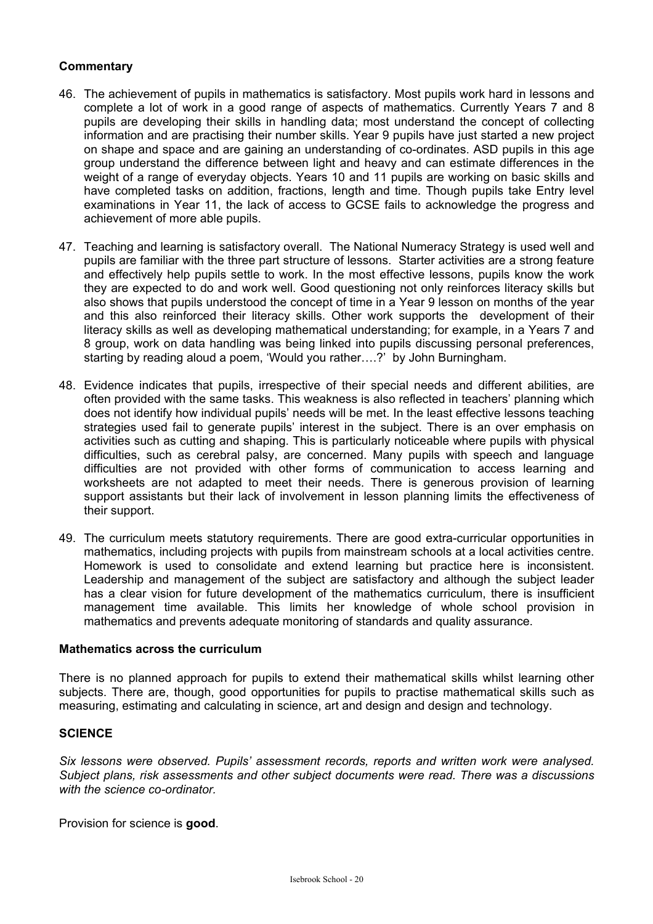# **Commentary**

- 46. The achievement of pupils in mathematics is satisfactory. Most pupils work hard in lessons and complete a lot of work in a good range of aspects of mathematics. Currently Years 7 and 8 pupils are developing their skills in handling data; most understand the concept of collecting information and are practising their number skills. Year 9 pupils have just started a new project on shape and space and are gaining an understanding of co-ordinates. ASD pupils in this age group understand the difference between light and heavy and can estimate differences in the weight of a range of everyday objects. Years 10 and 11 pupils are working on basic skills and have completed tasks on addition, fractions, length and time. Though pupils take Entry level examinations in Year 11, the lack of access to GCSE fails to acknowledge the progress and achievement of more able pupils.
- 47. Teaching and learning is satisfactory overall. The National Numeracy Strategy is used well and pupils are familiar with the three part structure of lessons. Starter activities are a strong feature and effectively help pupils settle to work. In the most effective lessons, pupils know the work they are expected to do and work well. Good questioning not only reinforces literacy skills but also shows that pupils understood the concept of time in a Year 9 lesson on months of the year and this also reinforced their literacy skills. Other work supports the development of their literacy skills as well as developing mathematical understanding; for example, in a Years 7 and 8 group, work on data handling was being linked into pupils discussing personal preferences, starting by reading aloud a poem, 'Would you rather….?' by John Burningham.
- 48. Evidence indicates that pupils, irrespective of their special needs and different abilities, are often provided with the same tasks. This weakness is also reflected in teachers' planning which does not identify how individual pupils' needs will be met. In the least effective lessons teaching strategies used fail to generate pupils' interest in the subject. There is an over emphasis on activities such as cutting and shaping. This is particularly noticeable where pupils with physical difficulties, such as cerebral palsy, are concerned. Many pupils with speech and language difficulties are not provided with other forms of communication to access learning and worksheets are not adapted to meet their needs. There is generous provision of learning support assistants but their lack of involvement in lesson planning limits the effectiveness of their support.
- 49. The curriculum meets statutory requirements. There are good extra-curricular opportunities in mathematics, including projects with pupils from mainstream schools at a local activities centre. Homework is used to consolidate and extend learning but practice here is inconsistent. Leadership and management of the subject are satisfactory and although the subject leader has a clear vision for future development of the mathematics curriculum, there is insufficient management time available. This limits her knowledge of whole school provision in mathematics and prevents adequate monitoring of standards and quality assurance.

# **Mathematics across the curriculum**

There is no planned approach for pupils to extend their mathematical skills whilst learning other subjects. There are, though, good opportunities for pupils to practise mathematical skills such as measuring, estimating and calculating in science, art and design and design and technology.

#### **SCIENCE**

*Six lessons were observed. Pupils' assessment records, reports and written work were analysed. Subject plans, risk assessments and other subject documents were read. There was a discussions with the science co-ordinator.* 

Provision for science is **good**.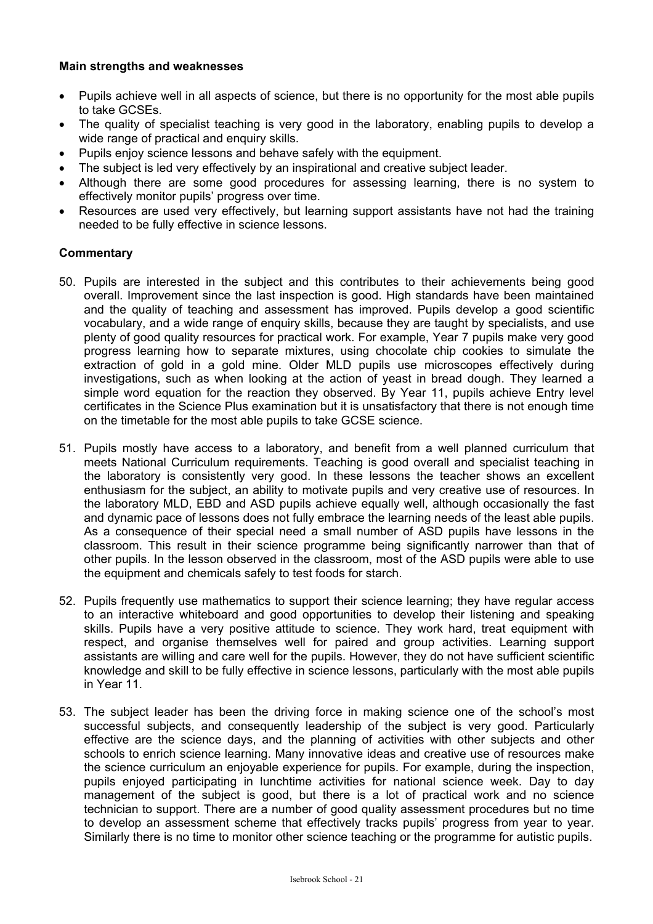## **Main strengths and weaknesses**

- Pupils achieve well in all aspects of science, but there is no opportunity for the most able pupils to take GCSEs.
- The quality of specialist teaching is very good in the laboratory, enabling pupils to develop a wide range of practical and enquiry skills.
- Pupils enjoy science lessons and behave safely with the equipment.
- The subject is led very effectively by an inspirational and creative subject leader.
- Although there are some good procedures for assessing learning, there is no system to effectively monitor pupils' progress over time.
- Resources are used very effectively, but learning support assistants have not had the training needed to be fully effective in science lessons.

- 50. Pupils are interested in the subject and this contributes to their achievements being good overall. Improvement since the last inspection is good. High standards have been maintained and the quality of teaching and assessment has improved. Pupils develop a good scientific vocabulary, and a wide range of enquiry skills, because they are taught by specialists, and use plenty of good quality resources for practical work. For example, Year 7 pupils make very good progress learning how to separate mixtures, using chocolate chip cookies to simulate the extraction of gold in a gold mine. Older MLD pupils use microscopes effectively during investigations, such as when looking at the action of yeast in bread dough. They learned a simple word equation for the reaction they observed. By Year 11, pupils achieve Entry level certificates in the Science Plus examination but it is unsatisfactory that there is not enough time on the timetable for the most able pupils to take GCSE science.
- 51. Pupils mostly have access to a laboratory, and benefit from a well planned curriculum that meets National Curriculum requirements. Teaching is good overall and specialist teaching in the laboratory is consistently very good. In these lessons the teacher shows an excellent enthusiasm for the subject, an ability to motivate pupils and very creative use of resources. In the laboratory MLD, EBD and ASD pupils achieve equally well, although occasionally the fast and dynamic pace of lessons does not fully embrace the learning needs of the least able pupils. As a consequence of their special need a small number of ASD pupils have lessons in the classroom. This result in their science programme being significantly narrower than that of other pupils. In the lesson observed in the classroom, most of the ASD pupils were able to use the equipment and chemicals safely to test foods for starch.
- 52. Pupils frequently use mathematics to support their science learning; they have regular access to an interactive whiteboard and good opportunities to develop their listening and speaking skills. Pupils have a very positive attitude to science. They work hard, treat equipment with respect, and organise themselves well for paired and group activities. Learning support assistants are willing and care well for the pupils. However, they do not have sufficient scientific knowledge and skill to be fully effective in science lessons, particularly with the most able pupils in Year 11.
- 53. The subject leader has been the driving force in making science one of the school's most successful subjects, and consequently leadership of the subject is very good. Particularly effective are the science days, and the planning of activities with other subjects and other schools to enrich science learning. Many innovative ideas and creative use of resources make the science curriculum an enjoyable experience for pupils. For example, during the inspection, pupils enjoyed participating in lunchtime activities for national science week. Day to day management of the subject is good, but there is a lot of practical work and no science technician to support. There are a number of good quality assessment procedures but no time to develop an assessment scheme that effectively tracks pupils' progress from year to year. Similarly there is no time to monitor other science teaching or the programme for autistic pupils.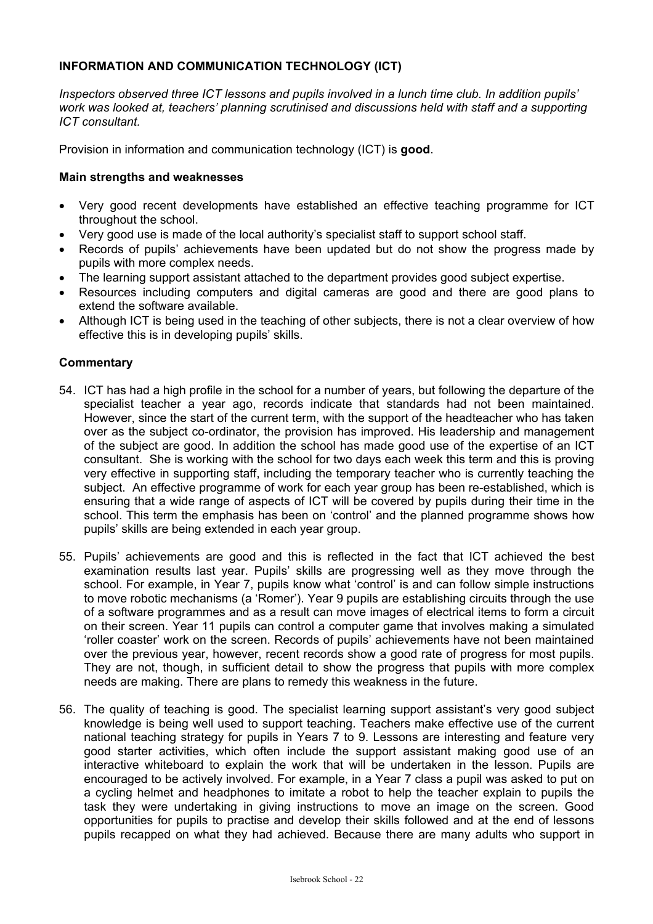# **INFORMATION AND COMMUNICATION TECHNOLOGY (ICT)**

*Inspectors observed three ICT lessons and pupils involved in a lunch time club. In addition pupils' work was looked at, teachers' planning scrutinised and discussions held with staff and a supporting ICT consultant.*

Provision in information and communication technology (ICT) is **good**.

## **Main strengths and weaknesses**

- Very good recent developments have established an effective teaching programme for ICT throughout the school.
- Very good use is made of the local authority's specialist staff to support school staff.
- Records of pupils' achievements have been updated but do not show the progress made by pupils with more complex needs.
- The learning support assistant attached to the department provides good subject expertise.
- Resources including computers and digital cameras are good and there are good plans to extend the software available.
- Although ICT is being used in the teaching of other subjects, there is not a clear overview of how effective this is in developing pupils' skills.

- 54. ICT has had a high profile in the school for a number of years, but following the departure of the specialist teacher a year ago, records indicate that standards had not been maintained. However, since the start of the current term, with the support of the headteacher who has taken over as the subject co-ordinator, the provision has improved. His leadership and management of the subject are good. In addition the school has made good use of the expertise of an ICT consultant. She is working with the school for two days each week this term and this is proving very effective in supporting staff, including the temporary teacher who is currently teaching the subject. An effective programme of work for each year group has been re-established, which is ensuring that a wide range of aspects of ICT will be covered by pupils during their time in the school. This term the emphasis has been on 'control' and the planned programme shows how pupils' skills are being extended in each year group.
- 55. Pupils' achievements are good and this is reflected in the fact that ICT achieved the best examination results last year. Pupils' skills are progressing well as they move through the school. For example, in Year 7, pupils know what 'control' is and can follow simple instructions to move robotic mechanisms (a 'Romer'). Year 9 pupils are establishing circuits through the use of a software programmes and as a result can move images of electrical items to form a circuit on their screen. Year 11 pupils can control a computer game that involves making a simulated 'roller coaster' work on the screen. Records of pupils' achievements have not been maintained over the previous year, however, recent records show a good rate of progress for most pupils. They are not, though, in sufficient detail to show the progress that pupils with more complex needs are making. There are plans to remedy this weakness in the future.
- 56. The quality of teaching is good. The specialist learning support assistant's very good subject knowledge is being well used to support teaching. Teachers make effective use of the current national teaching strategy for pupils in Years 7 to 9. Lessons are interesting and feature very good starter activities, which often include the support assistant making good use of an interactive whiteboard to explain the work that will be undertaken in the lesson. Pupils are encouraged to be actively involved. For example, in a Year 7 class a pupil was asked to put on a cycling helmet and headphones to imitate a robot to help the teacher explain to pupils the task they were undertaking in giving instructions to move an image on the screen. Good opportunities for pupils to practise and develop their skills followed and at the end of lessons pupils recapped on what they had achieved. Because there are many adults who support in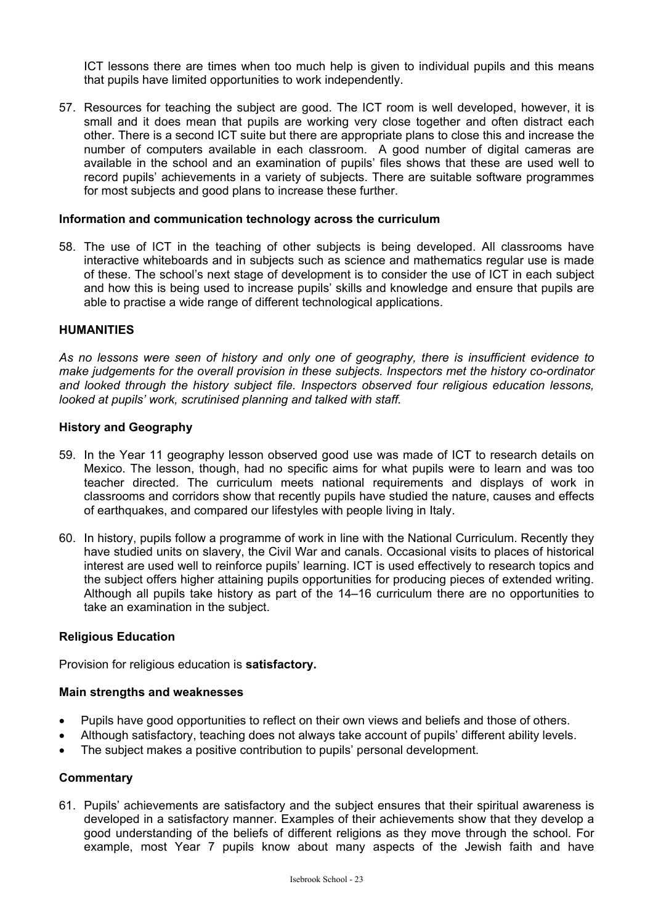ICT lessons there are times when too much help is given to individual pupils and this means that pupils have limited opportunities to work independently.

57. Resources for teaching the subject are good. The ICT room is well developed, however, it is small and it does mean that pupils are working very close together and often distract each other. There is a second ICT suite but there are appropriate plans to close this and increase the number of computers available in each classroom. A good number of digital cameras are available in the school and an examination of pupils' files shows that these are used well to record pupils' achievements in a variety of subjects. There are suitable software programmes for most subjects and good plans to increase these further.

#### **Information and communication technology across the curriculum**

58. The use of ICT in the teaching of other subjects is being developed. All classrooms have interactive whiteboards and in subjects such as science and mathematics regular use is made of these. The school's next stage of development is to consider the use of ICT in each subject and how this is being used to increase pupils' skills and knowledge and ensure that pupils are able to practise a wide range of different technological applications.

#### **HUMANITIES**

*As no lessons were seen of history and only one of geography, there is insufficient evidence to make judgements for the overall provision in these subjects. Inspectors met the history co-ordinator and looked through the history subject file. Inspectors observed four religious education lessons, looked at pupils' work, scrutinised planning and talked with staff.* 

## **History and Geography**

- 59. In the Year 11 geography lesson observed good use was made of ICT to research details on Mexico. The lesson, though, had no specific aims for what pupils were to learn and was too teacher directed. The curriculum meets national requirements and displays of work in classrooms and corridors show that recently pupils have studied the nature, causes and effects of earthquakes, and compared our lifestyles with people living in Italy.
- 60. In history, pupils follow a programme of work in line with the National Curriculum. Recently they have studied units on slavery, the Civil War and canals. Occasional visits to places of historical interest are used well to reinforce pupils' learning. ICT is used effectively to research topics and the subject offers higher attaining pupils opportunities for producing pieces of extended writing. Although all pupils take history as part of the 14–16 curriculum there are no opportunities to take an examination in the subject.

#### **Religious Education**

Provision for religious education is **satisfactory.** 

#### **Main strengths and weaknesses**

- Pupils have good opportunities to reflect on their own views and beliefs and those of others.
- Although satisfactory, teaching does not always take account of pupils' different ability levels.
- The subject makes a positive contribution to pupils' personal development.

## **Commentary**

61. Pupils' achievements are satisfactory and the subject ensures that their spiritual awareness is developed in a satisfactory manner. Examples of their achievements show that they develop a good understanding of the beliefs of different religions as they move through the school. For example, most Year 7 pupils know about many aspects of the Jewish faith and have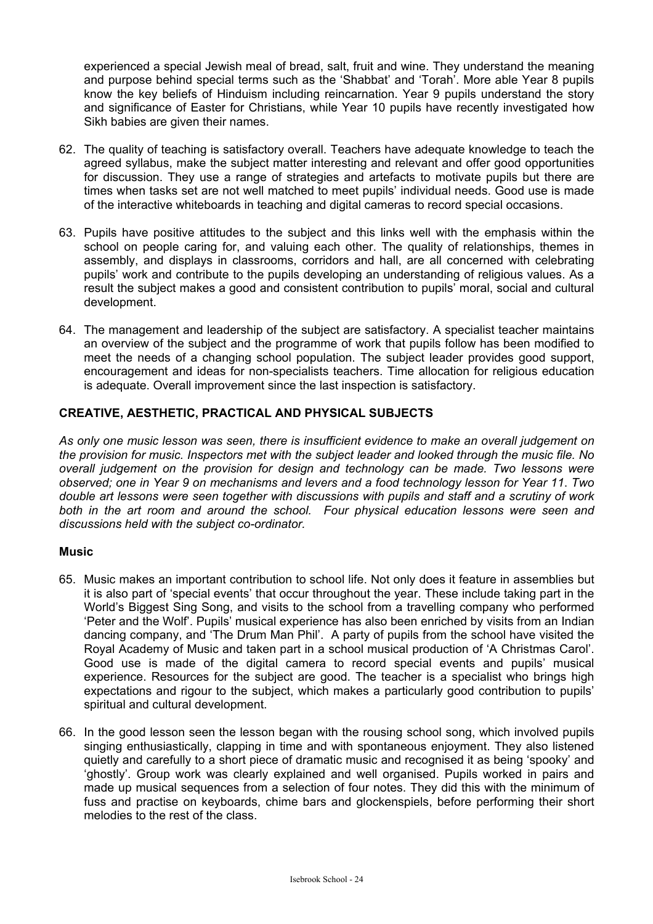experienced a special Jewish meal of bread, salt, fruit and wine. They understand the meaning and purpose behind special terms such as the 'Shabbat' and 'Torah'. More able Year 8 pupils know the key beliefs of Hinduism including reincarnation. Year 9 pupils understand the story and significance of Easter for Christians, while Year 10 pupils have recently investigated how Sikh babies are given their names.

- 62. The quality of teaching is satisfactory overall. Teachers have adequate knowledge to teach the agreed syllabus, make the subject matter interesting and relevant and offer good opportunities for discussion. They use a range of strategies and artefacts to motivate pupils but there are times when tasks set are not well matched to meet pupils' individual needs. Good use is made of the interactive whiteboards in teaching and digital cameras to record special occasions.
- 63. Pupils have positive attitudes to the subject and this links well with the emphasis within the school on people caring for, and valuing each other. The quality of relationships, themes in assembly, and displays in classrooms, corridors and hall, are all concerned with celebrating pupils' work and contribute to the pupils developing an understanding of religious values. As a result the subject makes a good and consistent contribution to pupils' moral, social and cultural development.
- 64. The management and leadership of the subject are satisfactory. A specialist teacher maintains an overview of the subject and the programme of work that pupils follow has been modified to meet the needs of a changing school population. The subject leader provides good support, encouragement and ideas for non-specialists teachers. Time allocation for religious education is adequate. Overall improvement since the last inspection is satisfactory.

# **CREATIVE, AESTHETIC, PRACTICAL AND PHYSICAL SUBJECTS**

*As only one music lesson was seen, there is insufficient evidence to make an overall judgement on the provision for music. Inspectors met with the subject leader and looked through the music file. No overall judgement on the provision for design and technology can be made. Two lessons were observed; one in Year 9 on mechanisms and levers and a food technology lesson for Year 11*. *Two double art lessons were seen together with discussions with pupils and staff and a scrutiny of work both in the art room and around the school. Four physical education lessons were seen and discussions held with the subject co-ordinator.* 

#### **Music**

- 65. Music makes an important contribution to school life. Not only does it feature in assemblies but it is also part of 'special events' that occur throughout the year. These include taking part in the World's Biggest Sing Song, and visits to the school from a travelling company who performed 'Peter and the Wolf'. Pupils' musical experience has also been enriched by visits from an Indian dancing company, and 'The Drum Man Phil'. A party of pupils from the school have visited the Royal Academy of Music and taken part in a school musical production of 'A Christmas Carol'. Good use is made of the digital camera to record special events and pupils' musical experience. Resources for the subject are good. The teacher is a specialist who brings high expectations and rigour to the subject, which makes a particularly good contribution to pupils' spiritual and cultural development.
- 66. In the good lesson seen the lesson began with the rousing school song, which involved pupils singing enthusiastically, clapping in time and with spontaneous enjoyment. They also listened quietly and carefully to a short piece of dramatic music and recognised it as being 'spooky' and 'ghostly'. Group work was clearly explained and well organised. Pupils worked in pairs and made up musical sequences from a selection of four notes. They did this with the minimum of fuss and practise on keyboards, chime bars and glockenspiels, before performing their short melodies to the rest of the class.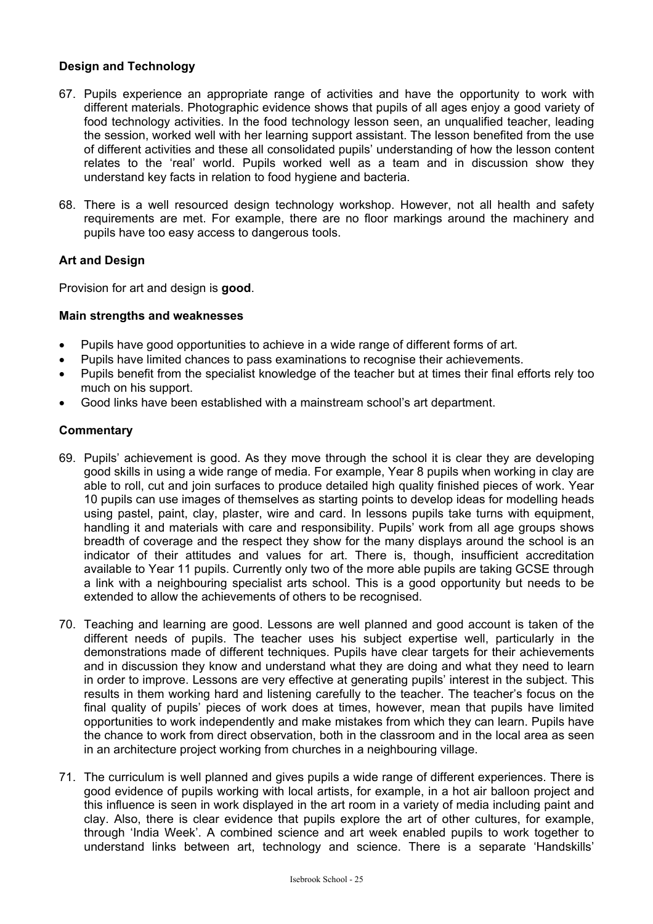# **Design and Technology**

- 67. Pupils experience an appropriate range of activities and have the opportunity to work with different materials. Photographic evidence shows that pupils of all ages enjoy a good variety of food technology activities. In the food technology lesson seen, an unqualified teacher, leading the session, worked well with her learning support assistant. The lesson benefited from the use of different activities and these all consolidated pupils' understanding of how the lesson content relates to the 'real' world. Pupils worked well as a team and in discussion show they understand key facts in relation to food hygiene and bacteria.
- 68. There is a well resourced design technology workshop. However, not all health and safety requirements are met. For example, there are no floor markings around the machinery and pupils have too easy access to dangerous tools.

# **Art and Design**

Provision for art and design is **good**.

## **Main strengths and weaknesses**

- Pupils have good opportunities to achieve in a wide range of different forms of art.
- Pupils have limited chances to pass examinations to recognise their achievements.
- Pupils benefit from the specialist knowledge of the teacher but at times their final efforts rely too much on his support.
- Good links have been established with a mainstream school's art department.

- 69. Pupils' achievement is good. As they move through the school it is clear they are developing good skills in using a wide range of media. For example, Year 8 pupils when working in clay are able to roll, cut and join surfaces to produce detailed high quality finished pieces of work. Year 10 pupils can use images of themselves as starting points to develop ideas for modelling heads using pastel, paint, clay, plaster, wire and card. In lessons pupils take turns with equipment, handling it and materials with care and responsibility. Pupils' work from all age groups shows breadth of coverage and the respect they show for the many displays around the school is an indicator of their attitudes and values for art. There is, though, insufficient accreditation available to Year 11 pupils. Currently only two of the more able pupils are taking GCSE through a link with a neighbouring specialist arts school. This is a good opportunity but needs to be extended to allow the achievements of others to be recognised.
- 70. Teaching and learning are good. Lessons are well planned and good account is taken of the different needs of pupils. The teacher uses his subject expertise well, particularly in the demonstrations made of different techniques. Pupils have clear targets for their achievements and in discussion they know and understand what they are doing and what they need to learn in order to improve. Lessons are very effective at generating pupils' interest in the subject. This results in them working hard and listening carefully to the teacher. The teacher's focus on the final quality of pupils' pieces of work does at times, however, mean that pupils have limited opportunities to work independently and make mistakes from which they can learn. Pupils have the chance to work from direct observation, both in the classroom and in the local area as seen in an architecture project working from churches in a neighbouring village.
- 71. The curriculum is well planned and gives pupils a wide range of different experiences. There is good evidence of pupils working with local artists, for example, in a hot air balloon project and this influence is seen in work displayed in the art room in a variety of media including paint and clay. Also, there is clear evidence that pupils explore the art of other cultures, for example, through 'India Week'. A combined science and art week enabled pupils to work together to understand links between art, technology and science. There is a separate 'Handskills'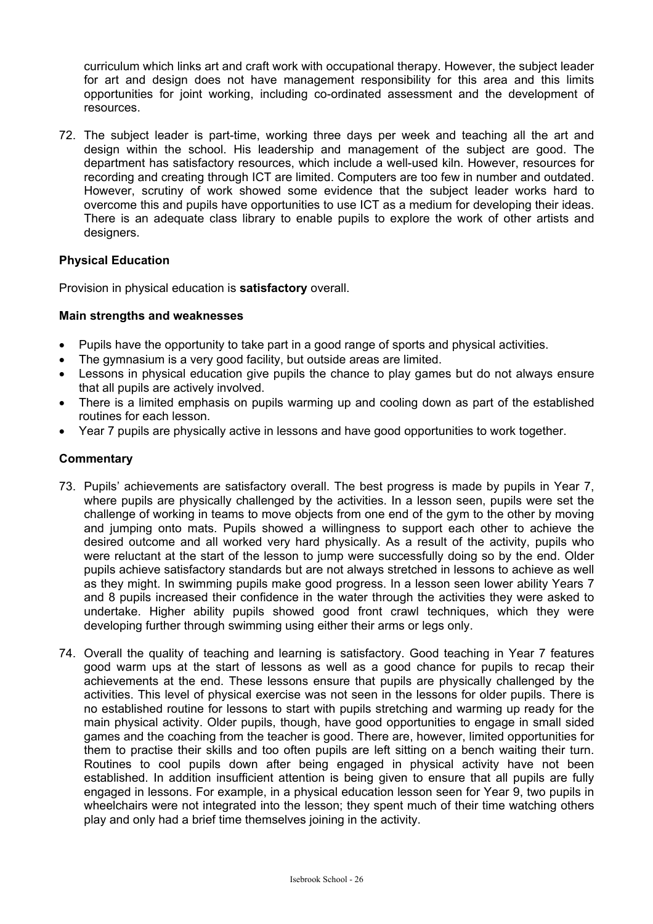curriculum which links art and craft work with occupational therapy. However, the subject leader for art and design does not have management responsibility for this area and this limits opportunities for joint working, including co-ordinated assessment and the development of resources.

72. The subject leader is part-time, working three days per week and teaching all the art and design within the school. His leadership and management of the subject are good. The department has satisfactory resources, which include a well-used kiln. However, resources for recording and creating through ICT are limited. Computers are too few in number and outdated. However, scrutiny of work showed some evidence that the subject leader works hard to overcome this and pupils have opportunities to use ICT as a medium for developing their ideas. There is an adequate class library to enable pupils to explore the work of other artists and designers.

# **Physical Education**

Provision in physical education is **satisfactory** overall.

## **Main strengths and weaknesses**

- Pupils have the opportunity to take part in a good range of sports and physical activities.
- The gymnasium is a very good facility, but outside areas are limited.
- Lessons in physical education give pupils the chance to play games but do not always ensure that all pupils are actively involved.
- There is a limited emphasis on pupils warming up and cooling down as part of the established routines for each lesson.
- Year 7 pupils are physically active in lessons and have good opportunities to work together.

- 73. Pupils' achievements are satisfactory overall. The best progress is made by pupils in Year 7, where pupils are physically challenged by the activities. In a lesson seen, pupils were set the challenge of working in teams to move objects from one end of the gym to the other by moving and jumping onto mats. Pupils showed a willingness to support each other to achieve the desired outcome and all worked very hard physically. As a result of the activity, pupils who were reluctant at the start of the lesson to jump were successfully doing so by the end. Older pupils achieve satisfactory standards but are not always stretched in lessons to achieve as well as they might. In swimming pupils make good progress. In a lesson seen lower ability Years 7 and 8 pupils increased their confidence in the water through the activities they were asked to undertake. Higher ability pupils showed good front crawl techniques, which they were developing further through swimming using either their arms or legs only.
- 74. Overall the quality of teaching and learning is satisfactory. Good teaching in Year 7 features good warm ups at the start of lessons as well as a good chance for pupils to recap their achievements at the end. These lessons ensure that pupils are physically challenged by the activities. This level of physical exercise was not seen in the lessons for older pupils. There is no established routine for lessons to start with pupils stretching and warming up ready for the main physical activity. Older pupils, though, have good opportunities to engage in small sided games and the coaching from the teacher is good. There are, however, limited opportunities for them to practise their skills and too often pupils are left sitting on a bench waiting their turn. Routines to cool pupils down after being engaged in physical activity have not been established. In addition insufficient attention is being given to ensure that all pupils are fully engaged in lessons. For example, in a physical education lesson seen for Year 9, two pupils in wheelchairs were not integrated into the lesson; they spent much of their time watching others play and only had a brief time themselves joining in the activity.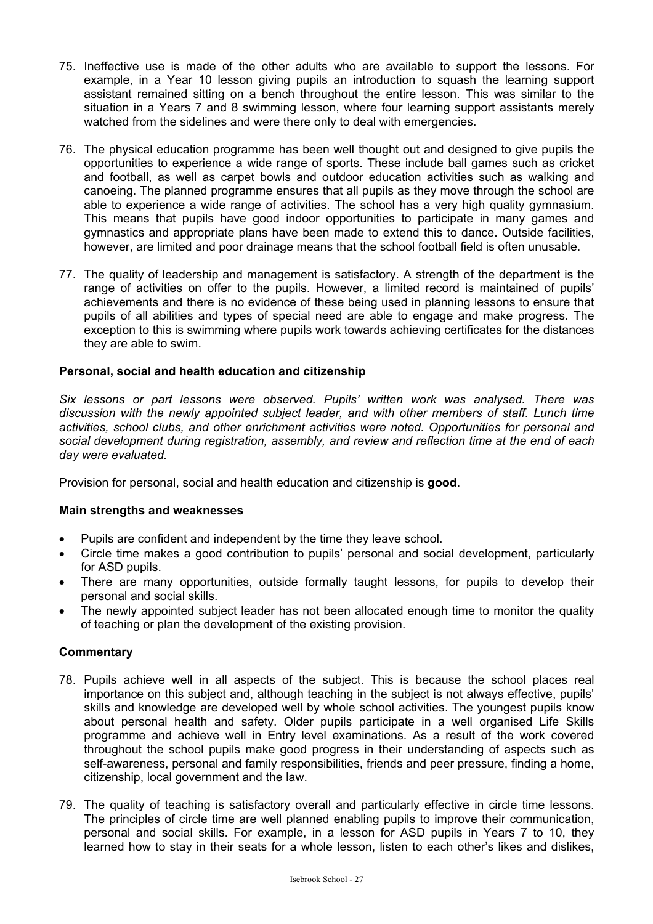- 75. Ineffective use is made of the other adults who are available to support the lessons. For example, in a Year 10 lesson giving pupils an introduction to squash the learning support assistant remained sitting on a bench throughout the entire lesson. This was similar to the situation in a Years 7 and 8 swimming lesson, where four learning support assistants merely watched from the sidelines and were there only to deal with emergencies.
- 76. The physical education programme has been well thought out and designed to give pupils the opportunities to experience a wide range of sports. These include ball games such as cricket and football, as well as carpet bowls and outdoor education activities such as walking and canoeing. The planned programme ensures that all pupils as they move through the school are able to experience a wide range of activities. The school has a very high quality gymnasium. This means that pupils have good indoor opportunities to participate in many games and gymnastics and appropriate plans have been made to extend this to dance. Outside facilities, however, are limited and poor drainage means that the school football field is often unusable.
- 77. The quality of leadership and management is satisfactory. A strength of the department is the range of activities on offer to the pupils. However, a limited record is maintained of pupils' achievements and there is no evidence of these being used in planning lessons to ensure that pupils of all abilities and types of special need are able to engage and make progress. The exception to this is swimming where pupils work towards achieving certificates for the distances they are able to swim.

# **Personal, social and health education and citizenship**

*Six lessons or part lessons were observed. Pupils' written work was analysed. There was discussion with the newly appointed subject leader, and with other members of staff. Lunch time activities, school clubs, and other enrichment activities were noted. Opportunities for personal and social development during registration, assembly, and review and reflection time at the end of each day were evaluated.* 

Provision for personal, social and health education and citizenship is **good**.

# **Main strengths and weaknesses**

- Pupils are confident and independent by the time they leave school.
- Circle time makes a good contribution to pupils' personal and social development, particularly for ASD pupils.
- There are many opportunities, outside formally taught lessons, for pupils to develop their personal and social skills.
- The newly appointed subject leader has not been allocated enough time to monitor the quality of teaching or plan the development of the existing provision.

- 78. Pupils achieve well in all aspects of the subject. This is because the school places real importance on this subject and, although teaching in the subject is not always effective, pupils' skills and knowledge are developed well by whole school activities. The youngest pupils know about personal health and safety. Older pupils participate in a well organised Life Skills programme and achieve well in Entry level examinations. As a result of the work covered throughout the school pupils make good progress in their understanding of aspects such as self-awareness, personal and family responsibilities, friends and peer pressure, finding a home, citizenship, local government and the law.
- 79. The quality of teaching is satisfactory overall and particularly effective in circle time lessons. The principles of circle time are well planned enabling pupils to improve their communication, personal and social skills. For example, in a lesson for ASD pupils in Years 7 to 10, they learned how to stay in their seats for a whole lesson, listen to each other's likes and dislikes,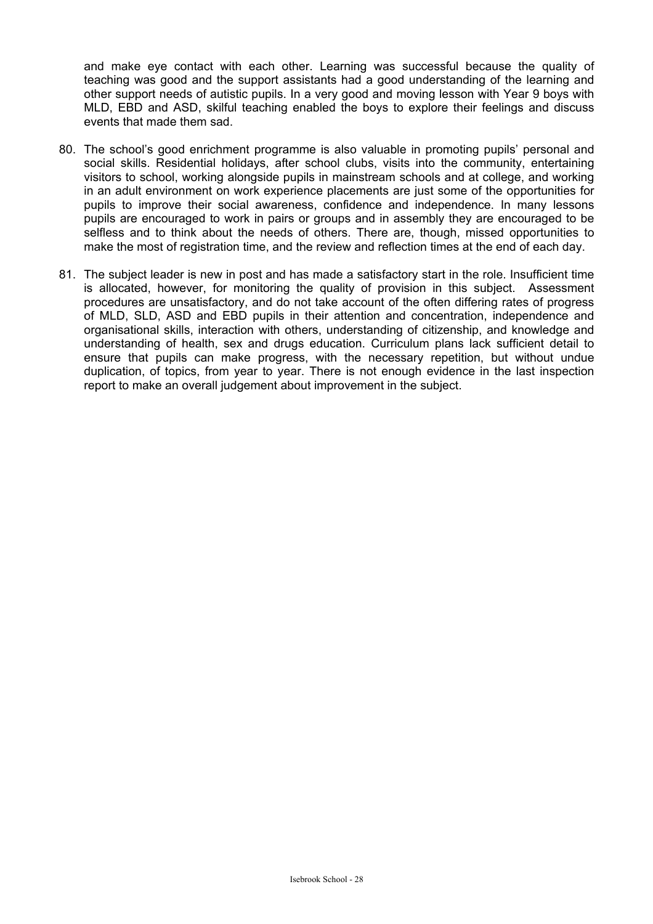and make eye contact with each other. Learning was successful because the quality of teaching was good and the support assistants had a good understanding of the learning and other support needs of autistic pupils. In a very good and moving lesson with Year 9 boys with MLD, EBD and ASD, skilful teaching enabled the boys to explore their feelings and discuss events that made them sad.

- 80. The school's good enrichment programme is also valuable in promoting pupils' personal and social skills. Residential holidays, after school clubs, visits into the community, entertaining visitors to school, working alongside pupils in mainstream schools and at college, and working in an adult environment on work experience placements are just some of the opportunities for pupils to improve their social awareness, confidence and independence. In many lessons pupils are encouraged to work in pairs or groups and in assembly they are encouraged to be selfless and to think about the needs of others. There are, though, missed opportunities to make the most of registration time, and the review and reflection times at the end of each day.
- 81. The subject leader is new in post and has made a satisfactory start in the role. Insufficient time is allocated, however, for monitoring the quality of provision in this subject. Assessment procedures are unsatisfactory, and do not take account of the often differing rates of progress of MLD, SLD, ASD and EBD pupils in their attention and concentration, independence and organisational skills, interaction with others, understanding of citizenship, and knowledge and understanding of health, sex and drugs education. Curriculum plans lack sufficient detail to ensure that pupils can make progress, with the necessary repetition, but without undue duplication, of topics, from year to year. There is not enough evidence in the last inspection report to make an overall judgement about improvement in the subject.